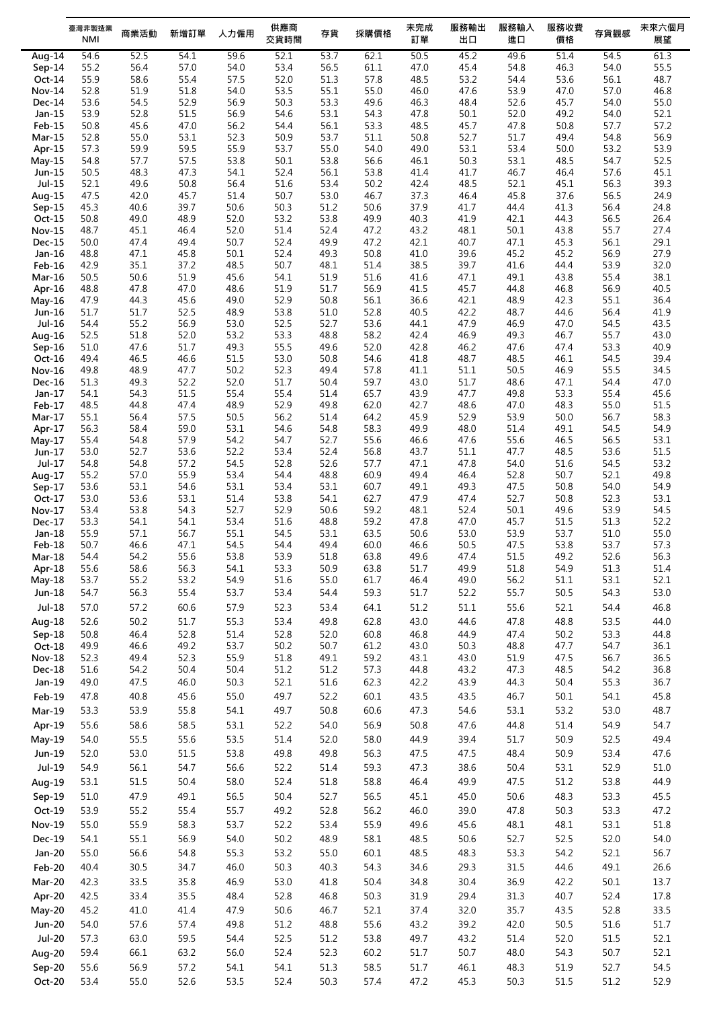|                    | 臺灣非製造業<br><b>NMI</b> | 商業活動         | 新增訂單         | 人力僱用         | 供應商<br>交貨時間  | 存貨           | 採購價格         | 未完成<br>訂單    | 服務輸出<br>出口   | 服務輸入<br>進口   | 服務收費<br>價格   | 存貨觀感         | 未來六個月<br>展望  |
|--------------------|----------------------|--------------|--------------|--------------|--------------|--------------|--------------|--------------|--------------|--------------|--------------|--------------|--------------|
| Aug-14             | 54.6                 | 52.5         | 54.1         | 59.6         | 52.1         | 53.7         | 62.1         | 50.5         | 45.2         | 49.6         | 51.4         | 54.5         | 61.3         |
| $Sep-14$           | 55.2                 | 56.4         | 57.0         | 54.0         | 53.4         | 56.5         | 61.1         | 47.0         | 45.4         | 54.8         | 46.3         | 54.0         | 55.5         |
| Oct-14             | 55.9                 | 58.6         | 55.4         | 57.5         | 52.0         | 51.3         | 57.8         | 48.5         | 53.2         | 54.4         | 53.6         | 56.1         | 48.7         |
| <b>Nov-14</b>      | 52.8                 | 51.9         | 51.8         | 54.0         | 53.5         | 55.1         | 55.0         | 46.0         | 47.6         | 53.9         | 47.0         | 57.0         | 46.8         |
| Dec-14             | 53.6                 | 54.5         | 52.9         | 56.9         | 50.3         | 53.3         | 49.6         | 46.3         | 48.4         | 52.6         | 45.7         | 54.0         | 55.0         |
| Jan-15             | 53.9                 | 52.8         | 51.5         | 56.9         | 54.6         | 53.1         | 54.3         | 47.8         | 50.1         | 52.0         | 49.2         | 54.0         | 52.1         |
| Feb-15             | 50.8                 | 45.6         | 47.0         | 56.2         | 54.4         | 56.1         | 53.3         | 48.5         | 45.7         | 47.8         | 50.8         | 57.7         | 57.2         |
| $Mar-15$           | 52.8                 | 55.0         | 53.1         | 52.3         | 50.9         | 53.7         | 51.1         | 50.8         | 52.7         | 51.7         | 49.4         | 54.8         | 56.9         |
| Apr-15             | 57.3                 | 59.9         | 59.5         | 55.9         | 53.7         | 55.0         | 54.0         | 49.0         | 53.1         | 53.4         | 50.0         | 53.2         | 53.9         |
| $May-15$           | 54.8                 | 57.7         | 57.5         | 53.8         | 50.1         | 53.8         | 56.6         | 46.1         | 50.3         | 53.1         | 48.5         | 54.7         | 52.5         |
| Jun-15<br>Jul-15   | 50.5<br>52.1         | 48.3<br>49.6 | 47.3<br>50.8 | 54.1<br>56.4 | 52.4<br>51.6 | 56.1<br>53.4 | 53.8<br>50.2 | 41.4<br>42.4 | 41.7<br>48.5 | 46.7<br>52.1 | 46.4<br>45.1 | 57.6<br>56.3 | 45.1<br>39.3 |
| Aug-15             | 47.5                 | 42.0         | 45.7         | 51.4         | 50.7         | 53.0         | 46.7         | 37.3         | 46.4         | 45.8         | 37.6         | 56.5         | 24.9         |
| $Sep-15$           | 45.3                 | 40.6         | 39.7         | 50.6         | 50.3         | 51.2         | 50.6         | 37.9         | 41.7         | 44.4         | 41.3         | 56.4         | 24.8         |
| Oct-15             | 50.8                 | 49.0         | 48.9         | 52.0         | 53.2         | 53.8         | 49.9         | 40.3         | 41.9         | 42.1         | 44.3         | 56.5         | 26.4         |
| <b>Nov-15</b>      | 48.7                 | 45.1         | 46.4         | 52.0         | 51.4         | 52.4         | 47.2         | 43.2         | 48.1         | 50.1         | 43.8         | 55.7         | 27.4         |
| Dec-15             | 50.0                 | 47.4         | 49.4         | 50.7         | 52.4         | 49.9         | 47.2         | 42.1         | 40.7         | 47.1         | 45.3         | 56.1         | 29.1         |
| Jan-16             | 48.8                 | 47.1         | 45.8         | 50.1         | 52.4         | 49.3         | 50.8         | 41.0         | 39.6         | 45.2         | 45.2         | 56.9         | 27.9         |
| Feb-16             | 42.9                 | 35.1         | 37.2         | 48.5         | 50.7         | 48.1         | 51.4         | 38.5         | 39.7         | 41.6         | 44.4         | 53.9         | 32.0         |
| <b>Mar-16</b>      | 50.5                 | 50.6         | 51.9         | 45.6         | 54.1         | 51.9         | 51.6         | 41.6         | 47.1         | 49.1         | 43.8         | 55.4         | 38.1         |
| Apr-16             | 48.8                 | 47.8         | 47.0         | 48.6         | 51.9         | 51.7         | 56.9         | 41.5         | 45.7         | 44.8         | 46.8         | 56.9         | 40.5         |
| $May-16$           | 47.9                 | 44.3         | 45.6         | 49.0         | 52.9         | 50.8         | 56.1         | 36.6         | 42.1         | 48.9         | 42.3         | 55.1         | 36.4         |
| Jun-16             | 51.7                 | 51.7         | 52.5         | 48.9         | 53.8         | 51.0         | 52.8         | 40.5         | 42.2         | 48.7         | 44.6         | 56.4         | 41.9         |
| Jul-16             | 54.4                 | 55.2         | 56.9         | 53.0         | 52.5         | 52.7         | 53.6<br>58.2 | 44.1         | 47.9<br>46.9 | 46.9         | 47.0         | 54.5         | 43.5<br>43.0 |
| Aug-16             | 52.5<br>51.0         | 51.8<br>47.6 | 52.0<br>51.7 | 53.2<br>49.3 | 53.3<br>55.5 | 48.8<br>49.6 | 52.0         | 42.4<br>42.8 | 46.2         | 49.3<br>47.6 | 46.7<br>47.4 | 55.7<br>53.3 | 40.9         |
| $Sep-16$<br>Oct-16 | 49.4                 | 46.5         | 46.6         | 51.5         | 53.0         | 50.8         | 54.6         | 41.8         | 48.7         | 48.5         | 46.1         | 54.5         | 39.4         |
| Nov-16             | 49.8                 | 48.9         | 47.7         | 50.2         | 52.3         | 49.4         | 57.8         | 41.1         | 51.1         | 50.5         | 46.9         | 55.5         | 34.5         |
| <b>Dec-16</b>      | 51.3                 | 49.3         | 52.2         | 52.0         | 51.7         | 50.4         | 59.7         | 43.0         | 51.7         | 48.6         | 47.1         | 54.4         | 47.0         |
| Jan-17             | 54.1                 | 54.3         | 51.5         | 55.4         | 55.4         | 51.4         | 65.7         | 43.9         | 47.7         | 49.8         | 53.3         | 55.4         | 45.6         |
| Feb-17             | 48.5                 | 44.8         | 47.4         | 48.9         | 52.9         | 49.8         | 62.0         | 42.7         | 48.6         | 47.0         | 48.3         | 55.0         | 51.5         |
| Mar-17             | 55.1                 | 56.4         | 57.5         | 50.5         | 56.2         | 51.4         | 64.2         | 45.9         | 52.9         | 53.9         | 50.0         | 56.7         | 58.3         |
| Apr-17             | 56.3                 | 58.4         | 59.0         | 53.1         | 54.6         | 54.8         | 58.3         | 49.9         | 48.0         | 51.4         | 49.1         | 54.5         | 54.9         |
| $May-17$           | 55.4                 | 54.8         | 57.9         | 54.2         | 54.7         | 52.7         | 55.6         | 46.6         | 47.6         | 55.6         | 46.5         | 56.5         | 53.1         |
| Jun-17             | 53.0                 | 52.7         | 53.6         | 52.2         | 53.4         | 52.4         | 56.8         | 43.7         | 51.1         | 47.7         | 48.5         | 53.6         | 51.5         |
| Jul-17             | 54.8                 | 54.8         | 57.2         | 54.5         | 52.8         | 52.6         | 57.7         | 47.1         | 47.8         | 54.0         | 51.6         | 54.5         | 53.2         |
| Aug-17             | 55.2                 | 57.0         | 55.9         | 53.4         | 54.4         | 48.8         | 60.9         | 49.4         | 46.4         | 52.8         | 50.7         | 52.1         | 49.8         |
| $Sep-17$           | 53.6                 | 53.1         | 54.6         | 53.1         | 53.4         | 53.1         | 60.7         | 49.1         | 49.3         | 47.5         | 50.8         | 54.0         | 54.9         |
| $Oct-17$<br>Nov-17 | 53.0<br>53.4         | 53.6<br>53.8 | 53.1<br>54.3 | 51.4<br>52.7 | 53.8<br>52.9 | 54.1<br>50.6 | 62.7<br>59.2 | 47.9<br>48.1 | 47.4<br>52.4 | 52.7<br>50.1 | 50.8<br>49.6 | 52.3<br>53.9 | 53.1<br>54.5 |
| Dec-17             | 53.3                 | 54.1         | 54.1         | 53.4         | 51.6         | 48.8         | 59.2         | 47.8         | 47.0         | 45.7         | 51.5         | 51.3         | 52.2         |
| $Jan-18$           | 55.9                 | 57.1         | 56.7         | 55.1         | 54.5         | 53.1         | 63.5         | 50.6         | 53.0         | 53.9         | 53.7         | 51.0         | 55.0         |
| Feb-18             | 50.7                 | 46.6         | 47.1         | 54.5         | 54.4         | 49.4         | 60.0         | 46.6         | 50.5         | 47.5         | 53.8         | 53.7         | 57.3         |
| $Mar-18$           | 54.4                 | 54.2         | 55.6         | 53.8         | 53.9         | 51.8         | 63.8         | 49.6         | 47.4         | 51.5         | 49.2         | 52.6         | 56.3         |
| Apr-18             | 55.6                 | 58.6         | 56.3         | 54.1         | 53.3         | 50.9         | 63.8         | 51.7         | 49.9         | 51.8         | 54.9         | 51.3         | 51.4         |
| $May-18$           | 53.7                 | 55.2         | 53.2         | 54.9         | 51.6         | 55.0         | 61.7         | 46.4         | 49.0         | 56.2         | 51.1         | 53.1         | 52.1         |
| Jun-18             | 54.7                 | 56.3         | 55.4         | 53.7         | 53.4         | 54.4         | 59.3         | 51.7         | 52.2         | 55.7         | 50.5         | 54.3         | 53.0         |
| $Jul-18$           | 57.0                 | 57.2         | 60.6         | 57.9         | 52.3         | 53.4         | 64.1         | 51.2         | 51.1         | 55.6         | 52.1         | 54.4         | 46.8         |
| Aug-18             | 52.6                 | 50.2         | 51.7         | 55.3         | 53.4         | 49.8         | 62.8         | 43.0         | 44.6         | 47.8         | 48.8         | 53.5         | 44.0         |
| Sep-18             | 50.8                 | 46.4         | 52.8         | 51.4         | 52.8         | 52.0         | 60.8         | 46.8         | 44.9         | 47.4         | 50.2         | 53.3         | 44.8         |
| Oct-18             | 49.9                 | 46.6         | 49.2         | 53.7         | 50.2         | 50.7         | 61.2         | 43.0         | 50.3         | 48.8         | 47.7         | 54.7         | 36.1         |
| Nov-18             | 52.3                 | 49.4         | 52.3         | 55.9         | 51.8         | 49.1         | 59.2         | 43.1         | 43.0         | 51.9         | 47.5         | 56.7         | 36.5         |
| Dec-18             | 51.6                 | 54.2         | 50.4         | 50.4         | 51.2         | 51.2         | 57.3         | 44.8         | 43.2         | 47.3         | 48.5         | 54.2         | 36.8         |
| Jan-19             | 49.0                 | 47.5         | 46.0         | 50.3         | 52.1         | 51.6         | 62.3         | 42.2         | 43.9         | 44.3         | 50.4         | 55.3         | 36.7         |
| Feb-19             | 47.8                 | 40.8         | 45.6         | 55.0         | 49.7         | 52.2         | 60.1         | 43.5         | 43.5         | 46.7         | 50.1         | 54.1         | 45.8         |
| Mar-19             | 53.3                 | 53.9         | 55.8         | 54.1         | 49.7         | 50.8         | 60.6         | 47.3         | 54.6         | 53.1         | 53.2         | 53.0         | 48.7         |
| Apr-19             | 55.6                 | 58.6         | 58.5         | 53.1         | 52.2         | 54.0         | 56.9         | 50.8         | 47.6         | 44.8         | 51.4         | 54.9         | 54.7         |
|                    |                      |              |              |              |              |              |              |              |              |              |              |              |              |
| May-19             | 54.0                 | 55.5         | 55.6         | 53.5         | 51.4         | 52.0         | 58.0         | 44.9         | 39.4         | 51.7         | 50.9         | 52.5         | 49.4         |
| Jun-19             | 52.0                 | 53.0         | 51.5         | 53.8         | 49.8         | 49.8         | 56.3         | 47.5         | 47.5         | 48.4         | 50.9         | 53.4         | 47.6         |
| Jul-19             | 54.9                 | 56.1         | 54.7         | 56.6         | 52.2         | 51.4         | 59.3         | 47.3         | 38.6         | 50.4         | 53.1         | 52.9         | 51.0         |
| Aug-19             | 53.1                 | 51.5         | 50.4         | 58.0         | 52.4         | 51.8         | 58.8         | 46.4         | 49.9         | 47.5         | 51.2         | 53.8         | 44.9         |
| Sep-19             | 51.0                 | 47.9         | 49.1         | 56.5         | 50.4         | 52.7         | 56.5         | 45.1         | 45.0         | 50.6         | 48.3         | 53.3         | 45.5         |
| Oct-19             | 53.9                 | 55.2         | 55.4         | 55.7         | 49.2         | 52.8         | 56.2         | 46.0         | 39.0         | 47.8         | 50.3         | 53.3         | 47.2         |
| <b>Nov-19</b>      | 55.0                 | 55.9         | 58.3         | 53.7         | 52.2         | 53.4         | 55.9         | 49.6         | 45.6         | 48.1         | 48.1         | 53.1         | 51.8         |
|                    |                      |              |              |              |              |              |              |              |              |              |              |              |              |
| <b>Dec-19</b>      | 54.1                 | 55.1         | 56.9         | 54.0         | 50.2         | 48.9         | 58.1         | 48.5         | 50.6         | 52.7         | 52.5         | 52.0         | 54.0         |
| Jan-20             | 55.0                 | 56.6         | 54.8         | 55.3         | 53.2         | 55.0         | 60.1         | 48.5         | 48.3         | 53.3         | 54.2         | 52.1         | 56.7         |
| Feb-20             | 40.4                 | 30.5         | 34.7         | 46.0         | 50.3         | 40.3         | 54.3         | 34.6         | 29.3         | 31.5         | 44.6         | 49.1         | 26.6         |
| Mar-20             | 42.3                 | 33.5         | 35.8         | 46.9         | 53.0         | 41.8         | 50.4         | 34.8         | 30.4         | 36.9         | 42.2         | 50.1         | 13.7         |
| Apr-20             | 42.5                 | 33.4         | 35.5         | 48.4         | 52.8         | 46.8         | 50.3         | 31.9         | 29.4         | 31.3         | 40.7         | 52.4         | 17.8         |
| May-20             | 45.2                 | 41.0         | 41.4         | 47.9         | 50.6         | 46.7         | 52.1         | 37.4         | 32.0         | 35.7         | 43.5         | 52.8         | 33.5         |
| <b>Jun-20</b>      | 54.0                 | 57.6         | 57.4         | 49.8         | 51.2         | 48.8         | 55.6         | 43.2         | 39.2         | 42.0         | 50.5         | 51.6         | 51.7         |
|                    | 57.3                 |              |              |              | 52.5         |              |              |              |              | 51.4         |              |              | 52.1         |
| <b>Jul-20</b>      |                      | 63.0         | 59.5         | 54.4         |              | 51.2         | 53.8         | 49.7         | 43.2         |              | 52.0         | 51.5         |              |
| Aug-20             | 59.4                 | 66.1         | 63.2         | 56.0         | 52.4         | 52.3         | 60.2         | 51.7         | 50.7         | 48.0         | 54.3         | 50.7         | 52.1         |
| Sep-20             | 55.6                 | 56.9         | 57.2         | 54.1         | 54.1         | 51.3         | 58.5         | 51.7         | 46.1         | 48.3         | 51.9         | 52.7         | 54.5         |
| Oct-20             | 53.4                 | 55.0         | 52.6         | 53.5         | 52.4         | 50.3         | 57.4         | 47.2         | 45.3         | 50.3         | 51.5         | 51.2         | 52.9         |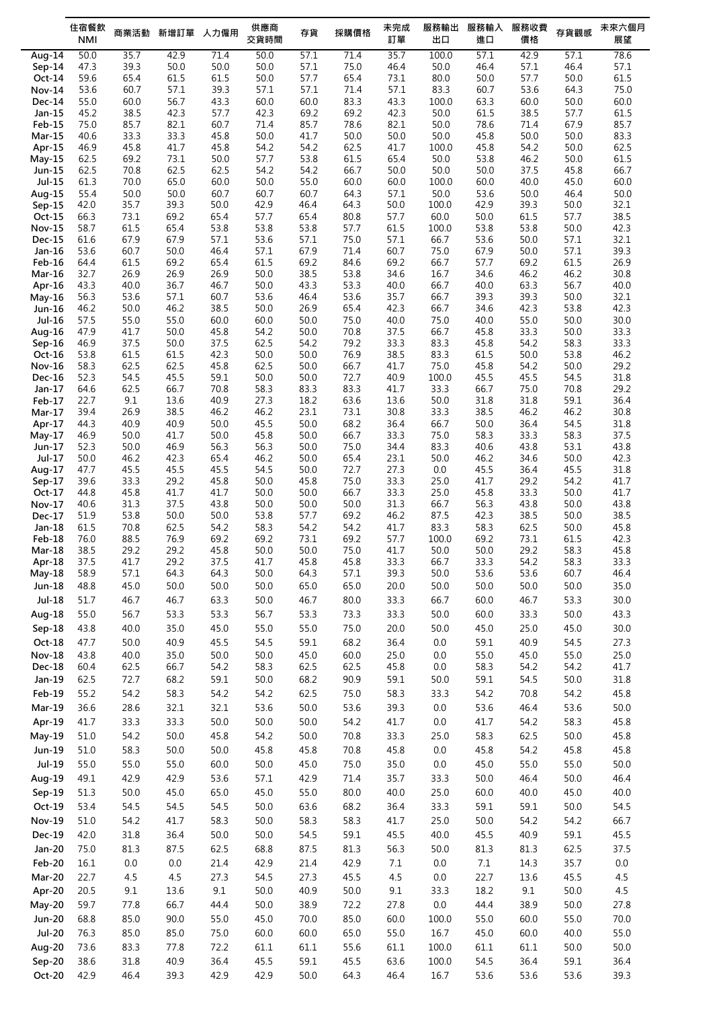|                                | 住宿餐飲         | 商業活動         | 新增訂單         | 人力僱用         | 供應商          | 存貨           | 採購價格         | 未完成          | 服務輸出          | 服務輸入         | 服務收費         | 存貨觀感         | 未來六個月        |
|--------------------------------|--------------|--------------|--------------|--------------|--------------|--------------|--------------|--------------|---------------|--------------|--------------|--------------|--------------|
|                                | <b>NMI</b>   |              |              |              | 交貨時間         |              |              | 訂單           | 出口            | 進口           | 價格           |              | 展望           |
| Aug- $14$                      | 50.0         | 35.7<br>39.3 | 42.9         | 71.4<br>50.0 | 50.0<br>50.0 | 57.1         | 71.4<br>75.0 | 35.7<br>46.4 | 100.0<br>50.0 | 57.1<br>46.4 | 42.9<br>57.1 | 57.1<br>46.4 | 78.6<br>57.1 |
| $Sep-14$<br>Oct-14             | 47.3<br>59.6 | 65.4         | 50.0<br>61.5 | 61.5         | 50.0         | 57.1<br>57.7 | 65.4         | 73.1         | 80.0          | 50.0         | 57.7         | 50.0         | 61.5         |
| <b>Nov-14</b>                  | 53.6         | 60.7         | 57.1         | 39.3         | 57.1         | 57.1         | 71.4         | 57.1         | 83.3          | 60.7         | 53.6         | 64.3         | 75.0         |
| <b>Dec-14</b>                  | 55.0         | 60.0         | 56.7         | 43.3         | 60.0         | 60.0         | 83.3         | 43.3         | 100.0         | 63.3         | 60.0         | 50.0         | 60.0         |
| Jan-15                         | 45.2         | 38.5         | 42.3         | 57.7         | 42.3         | 69.2         | 69.2         | 42.3         | 50.0          | 61.5         | 38.5         | 57.7         | 61.5         |
| Feb-15                         | 75.0         | 85.7         | 82.1         | 60.7         | 71.4         | 85.7         | 78.6         | 82.1         | 50.0          | 78.6         | 71.4         | 67.9         | 85.7         |
| <b>Mar-15</b>                  | 40.6         | 33.3         | 33.3         | 45.8         | 50.0         | 41.7         | 50.0         | 50.0         | 50.0          | 45.8         | 50.0         | 50.0         | 83.3         |
| Apr-15<br>$May-15$             | 46.9<br>62.5 | 45.8<br>69.2 | 41.7<br>73.1 | 45.8<br>50.0 | 54.2<br>57.7 | 54.2<br>53.8 | 62.5<br>61.5 | 41.7<br>65.4 | 100.0<br>50.0 | 45.8<br>53.8 | 54.2<br>46.2 | 50.0<br>50.0 | 62.5<br>61.5 |
| Jun-15                         | 62.5         | 70.8         | 62.5         | 62.5         | 54.2         | 54.2         | 66.7         | 50.0         | 50.0          | 50.0         | 37.5         | 45.8         | 66.7         |
| Jul-15                         | 61.3         | 70.0         | 65.0         | 60.0         | 50.0         | 55.0         | 60.0         | 60.0         | 100.0         | 60.0         | 40.0         | 45.0         | 60.0         |
| Aug-15                         | 55.4         | 50.0         | 50.0         | 60.7         | 60.7         | 60.7         | 64.3         | 57.1         | 50.0          | 53.6         | 50.0         | 46.4         | 50.0         |
| $Sep-15$                       | 42.0         | 35.7         | 39.3         | 50.0         | 42.9         | 46.4         | 64.3         | 50.0         | 100.0         | 42.9         | 39.3         | 50.0         | 32.1         |
| Oct-15                         | 66.3         | 73.1         | 69.2         | 65.4         | 57.7         | 65.4         | 80.8         | 57.7         | 60.0<br>100.0 | 50.0         | 61.5         | 57.7         | 38.5         |
| <b>Nov-15</b><br><b>Dec-15</b> | 58.7<br>61.6 | 61.5<br>67.9 | 65.4<br>67.9 | 53.8<br>57.1 | 53.8<br>53.6 | 53.8<br>57.1 | 57.7<br>75.0 | 61.5<br>57.1 | 66.7          | 53.8<br>53.6 | 53.8<br>50.0 | 50.0<br>57.1 | 42.3<br>32.1 |
| Jan-16                         | 53.6         | 60.7         | 50.0         | 46.4         | 57.1         | 67.9         | 71.4         | 60.7         | 75.0          | 67.9         | 50.0         | 57.1         | 39.3         |
| $Feb-16$                       | 64.4         | 61.5         | 69.2         | 65.4         | 61.5         | 69.2         | 84.6         | 69.2         | 66.7          | 57.7         | 69.2         | 61.5         | 26.9         |
| <b>Mar-16</b>                  | 32.7         | 26.9         | 26.9         | 26.9         | 50.0         | 38.5         | 53.8         | 34.6         | 16.7          | 34.6         | 46.2         | 46.2         | 30.8         |
| Apr-16                         | 43.3         | 40.0         | 36.7         | 46.7         | 50.0         | 43.3         | 53.3         | 40.0         | 66.7          | 40.0         | 63.3         | 56.7         | 40.0         |
| $May-16$                       | 56.3         | 53.6         | 57.1<br>46.2 | 60.7         | 53.6         | 46.4         | 53.6         | 35.7         | 66.7          | 39.3         | 39.3<br>42.3 | 50.0<br>53.8 | 32.1         |
| Jun-16<br>Jul-16               | 46.2<br>57.5 | 50.0<br>55.0 | 55.0         | 38.5<br>60.0 | 50.0<br>60.0 | 26.9<br>50.0 | 65.4<br>75.0 | 42.3<br>40.0 | 66.7<br>75.0  | 34.6<br>40.0 | 55.0         | 50.0         | 42.3<br>30.0 |
| Aug-16                         | 47.9         | 41.7         | 50.0         | 45.8         | 54.2         | 50.0         | 70.8         | 37.5         | 66.7          | 45.8         | 33.3         | 50.0         | 33.3         |
| $Sep-16$                       | 46.9         | 37.5         | 50.0         | 37.5         | 62.5         | 54.2         | 79.2         | 33.3         | 83.3          | 45.8         | 54.2         | 58.3         | 33.3         |
| Oct-16                         | 53.8         | 61.5         | 61.5         | 42.3         | 50.0         | 50.0         | 76.9         | 38.5         | 83.3          | 61.5         | 50.0         | 53.8         | 46.2         |
| <b>Nov-16</b>                  | 58.3         | 62.5         | 62.5         | 45.8         | 62.5         | 50.0         | 66.7         | 41.7         | 75.0          | 45.8         | 54.2         | 50.0         | 29.2         |
| Dec-16                         | 52.3         | 54.5         | 45.5         | 59.1         | 50.0         | 50.0         | 72.7         | 40.9         | 100.0         | 45.5         | 45.5         | 54.5         | 31.8         |
| Jan-17<br>Feb-17               | 64.6<br>22.7 | 62.5<br>9.1  | 66.7<br>13.6 | 70.8<br>40.9 | 58.3<br>27.3 | 83.3<br>18.2 | 83.3<br>63.6 | 41.7<br>13.6 | 33.3<br>50.0  | 66.7<br>31.8 | 75.0<br>31.8 | 70.8<br>59.1 | 29.2<br>36.4 |
| Mar-17                         | 39.4         | 26.9         | 38.5         | 46.2         | 46.2         | 23.1         | 73.1         | 30.8         | 33.3          | 38.5         | 46.2         | 46.2         | 30.8         |
| Apr-17                         | 44.3         | 40.9         | 40.9         | 50.0         | 45.5         | 50.0         | 68.2         | 36.4         | 66.7          | 50.0         | 36.4         | 54.5         | 31.8         |
| $May-17$                       | 46.9         | 50.0         | 41.7         | 50.0         | 45.8         | 50.0         | 66.7         | 33.3         | 75.0          | 58.3         | 33.3         | 58.3         | 37.5         |
| Jun-17                         | 52.3         | 50.0         | 46.9         | 56.3         | 56.3         | 50.0         | 75.0         | 34.4         | 83.3          | 40.6         | 43.8         | 53.1         | 43.8         |
| Jul-17<br>Aug-17               | 50.0<br>47.7 | 46.2<br>45.5 | 42.3<br>45.5 | 65.4<br>45.5 | 46.2<br>54.5 | 50.0<br>50.0 | 65.4<br>72.7 | 23.1<br>27.3 | 50.0<br>0.0   | 46.2<br>45.5 | 34.6<br>36.4 | 50.0<br>45.5 | 42.3<br>31.8 |
| $Sep-17$                       | 39.6         | 33.3         | 29.2         | 45.8         | 50.0         | 45.8         | 75.0         | 33.3         | 25.0          | 41.7         | 29.2         | 54.2         | 41.7         |
| $Oct-17$                       | 44.8         | 45.8         | 41.7         | 41.7         | 50.0         | 50.0         | 66.7         | 33.3         | 25.0          | 45.8         | 33.3         | 50.0         | 41.7         |
| Nov-17                         | 40.6         | 31.3         | 37.5         | 43.8         | 50.0         | 50.0         | 50.0         | 31.3         | 66.7          | 56.3         | 43.8         | 50.0         | 43.8         |
| Dec-17                         | 51.9         | 53.8         | 50.0         | 50.0         | 53.8         | 57.7         | 69.2         | 46.2         | 87.5          | 42.3         | 38.5         | 50.0         | 38.5         |
| $Jan-18$                       | 61.5         | 70.8         | 62.5         | 54.2         | 58.3         | 54.2         | 54.2         | 41.7         | 83.3          | 58.3         | 62.5         | 50.0         | 45.8         |
| Feb-18<br>Mar-18               | 76.0<br>38.5 | 88.5<br>29.2 | 76.9<br>29.2 | 69.2<br>45.8 | 69.2<br>50.0 | 73.1<br>50.0 | 69.2<br>75.0 | 57.7<br>41.7 | 100.0<br>50.0 | 69.2<br>50.0 | 73.1<br>29.2 | 61.5<br>58.3 | 42.3<br>45.8 |
| Apr-18                         | 37.5         | 41.7         | 29.2         | 37.5         | 41.7         | 45.8         | 45.8         | 33.3         | 66.7          | 33.3         | 54.2         | 58.3         | 33.3         |
| May-18                         | 58.9         | 57.1         | 64.3         | 64.3         | 50.0         | 64.3         | 57.1         | 39.3         | 50.0          | 53.6         | 53.6         | 60.7         | 46.4         |
| Jun-18                         | 48.8         | 45.0         | 50.0         | 50.0         | 50.0         | 65.0         | 65.0         | 20.0         | 50.0          | 50.0         | 50.0         | 50.0         | 35.0         |
| $Jul-18$                       | 51.7         | 46.7         | 46.7         | 63.3         | 50.0         | 46.7         | 80.0         | 33.3         | 66.7          | 60.0         | 46.7         | 53.3         | 30.0         |
| Aug-18                         | 55.0         | 56.7         | 53.3         | 53.3         | 56.7         | 53.3         | 73.3         | 33.3         | 50.0          | 60.0         | 33.3         | 50.0         | 43.3         |
| $Sep-18$                       | 43.8         | 40.0         | 35.0         | 45.0         | 55.0         | 55.0         | 75.0         | 20.0         | 50.0          | 45.0         | 25.0         | 45.0         | 30.0         |
| Oct-18                         | 47.7         | 50.0         | 40.9         | 45.5         | 54.5         | 59.1         | 68.2         | 36.4         | 0.0           | 59.1         | 40.9         | 54.5         | 27.3         |
| <b>Nov-18</b>                  | 43.8         | 40.0         | 35.0         | 50.0         | 50.0         | 45.0         | 60.0         | 25.0         | 0.0           | 55.0         | 45.0         | 55.0         | 25.0         |
| Dec-18                         | 60.4         | 62.5         | 66.7         | 54.2         | 58.3         | 62.5         | 62.5         | 45.8         | 0.0           | 58.3         | 54.2         | 54.2         | 41.7         |
| Jan-19                         | 62.5         | 72.7         | 68.2         | 59.1         | $50.0$       | 68.2         | 90.9         | 59.1         | 50.0          | 59.1         | 54.5         | 50.0         | $31.8\,$     |
| Feb-19                         | 55.2         | 54.2         | 58.3         | 54.2         | 54.2         | 62.5         | 75.0         | 58.3         | 33.3          | 54.2         | 70.8         | 54.2         | 45.8         |
| Mar-19                         | 36.6         | 28.6         | 32.1         | 32.1         | 53.6         | 50.0         | 53.6         | 39.3         | 0.0           | 53.6         | 46.4         | 53.6         | 50.0         |
| Apr-19                         | 41.7         | 33.3         | 33.3         | 50.0         | 50.0         | 50.0         | 54.2         | 41.7         | 0.0           | 41.7         | 54.2         | 58.3         | 45.8         |
| May-19                         | 51.0         | 54.2         | 50.0         | 45.8         | 54.2         | 50.0         | 70.8         | 33.3         | 25.0          | 58.3         | 62.5         | 50.0         | 45.8         |
| Jun-19                         | 51.0         | 58.3         | 50.0         | 50.0         | 45.8         | 45.8         | 70.8         | 45.8         | 0.0           | 45.8         | 54.2         | 45.8         | 45.8         |
| Jul-19                         | 55.0         | 55.0         | 55.0         | 60.0         | 50.0         | 45.0         | 75.0         | 35.0         | 0.0           | 45.0         | 55.0         | 55.0         | 50.0         |
| Aug-19                         | 49.1         | 42.9         | 42.9         | 53.6         | 57.1         | 42.9         | 71.4         | 35.7         | 33.3          | 50.0         | 46.4         | 50.0         | 46.4         |
| Sep-19                         | 51.3         | 50.0         | 45.0         | 65.0         | 45.0         | 55.0         | 80.0         | 40.0         | 25.0          | 60.0         | 40.0         | 45.0         | 40.0         |
| Oct-19                         | 53.4         | 54.5         | 54.5         | 54.5         | 50.0         | 63.6         | 68.2         | 36.4         | 33.3          | 59.1         | 59.1         | 50.0         | 54.5         |
| <b>Nov-19</b>                  | 51.0         | 54.2         | 41.7         | 58.3         | 50.0         | 58.3         | 58.3         | 41.7         | 25.0          | 50.0         | 54.2         | 54.2         | 66.7         |
| Dec-19                         | 42.0         | 31.8         | 36.4         | 50.0         | 50.0         | 54.5         | 59.1         | 45.5         | 40.0          | 45.5         | 40.9         | 59.1         | 45.5         |
| Jan-20                         | 75.0         | 81.3         | 87.5         | 62.5         | 68.8         | 87.5         | 81.3         | 56.3         | 50.0          | 81.3         | 81.3         | 62.5         | 37.5         |
| Feb-20                         | 16.1         | $0.0\,$      | $0.0\,$      | 21.4         | 42.9         | 21.4         | 42.9         | 7.1          | $0.0\,$       | $7.1\,$      | 14.3         | 35.7         | $0.0\,$      |
| Mar-20                         | 22.7         | 4.5          | 4.5          | 27.3         | 54.5         | 27.3         | 45.5         | 4.5          | 0.0           | 22.7         | 13.6         | 45.5         | 4.5          |
| Apr-20                         | 20.5         | 9.1          | 13.6         | 9.1          | 50.0         | 40.9         | 50.0         | 9.1          | 33.3          | 18.2         | 9.1          | 50.0         | 4.5          |
| <b>May-20</b>                  | 59.7         | 77.8         | 66.7         | 44.4         | 50.0         | 38.9         | 72.2         | 27.8         | 0.0           | 44.4         | 38.9         | 50.0         | 27.8         |
| <b>Jun-20</b>                  | 68.8         | 85.0         | 90.0         | 55.0         | 45.0         | 70.0         | 85.0         | 60.0         | 100.0         | 55.0         | 60.0         | 55.0         | 70.0         |
| <b>Jul-20</b>                  | 76.3         | 85.0         | 85.0         | 75.0         | 60.0         | 60.0         | 65.0         | 55.0         | 16.7          | 45.0         | 60.0         | 40.0         | 55.0         |
| Aug-20                         | 73.6         | 83.3         | 77.8         | 72.2         | 61.1         | 61.1         | 55.6         | 61.1         | 100.0         | 61.1         | 61.1         | 50.0         | 50.0         |
| Sep-20                         | 38.6         | 31.8         | 40.9         | 36.4         | 45.5         | 59.1         | 45.5         | 63.6         | 100.0         | 54.5         | 36.4         | 59.1         | 36.4         |
| Oct-20                         | 42.9         | 46.4         | 39.3         | 42.9         | 42.9         | 50.0         | 64.3         | 46.4         | 16.7          | 53.6         | 53.6         | 53.6         | 39.3         |
|                                |              |              |              |              |              |              |              |              |               |              |              |              |              |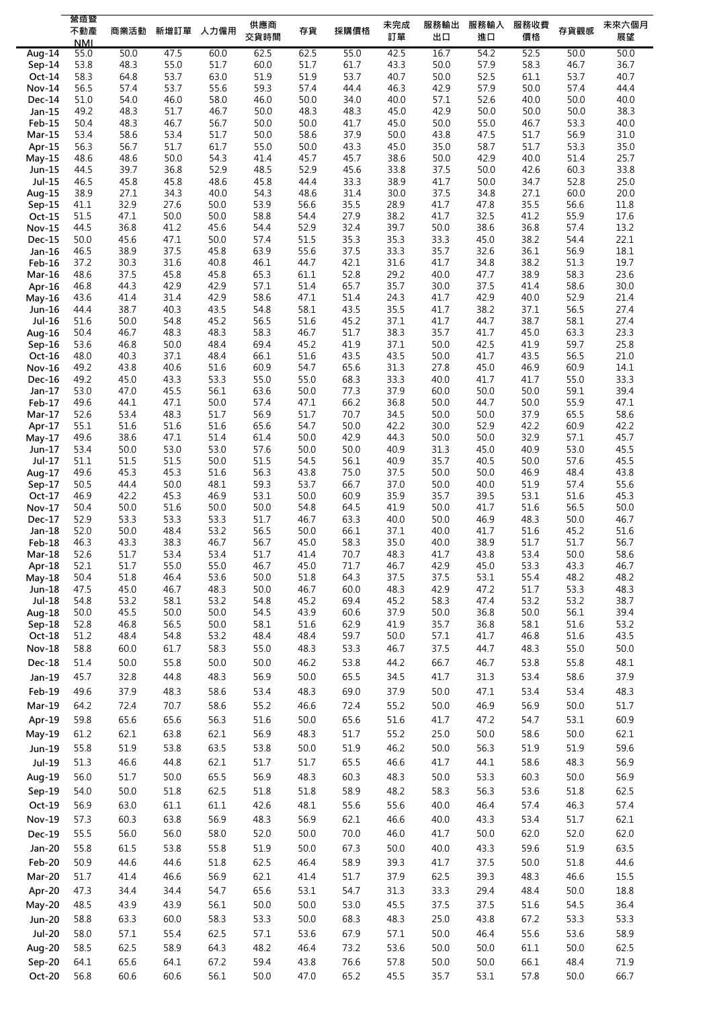|                    | 營造暨                |              |              |              | 供應商          |              |              | 未完成          | 服務輸出         | 服務輸入         | 服務收費         |              | 未來六個月        |
|--------------------|--------------------|--------------|--------------|--------------|--------------|--------------|--------------|--------------|--------------|--------------|--------------|--------------|--------------|
|                    | 不動產                | 商業活動         | 新增訂單         | 人力僱用         | 交貨時間         | 存貨           | 採購價格         | 訂單           | 出口           | 進口           | 價格           | 存貨觀感         | 展望           |
| Aug-14             | <b>NMI</b><br>55.0 | 50.0         | 47.5         | 60.0         | 62.5         | 62.5         | 55.0         | 42.5         | 16.7         | 54.2         | 52.5         | 50.0         | 50.0         |
| Sep-14             | 53.8               | 48.3         | 55.0         | 51.7         | 60.0         | 51.7         | 61.7         | 43.3         | 50.0         | 57.9         | 58.3         | 46.7         | 36.7         |
| Oct-14             | 58.3               | 64.8         | 53.7         | 63.0         | 51.9         | 51.9         | 53.7         | 40.7         | 50.0         | 52.5         | 61.1         | 53.7         | 40.7         |
| Nov-14             | 56.5               | 57.4         | 53.7         | 55.6         | 59.3         | 57.4         | 44.4         | 46.3         | 42.9         | 57.9         | 50.0         | 57.4         | 44.4         |
| Dec-14             | 51.0               | 54.0         | 46.0         | 58.0         | 46.0         | 50.0         | 34.0         | 40.0         | 57.1         | 52.6         | 40.0         | 50.0         | 40.0         |
| Jan-15             | 49.2               | 48.3         | 51.7         | 46.7         | 50.0         | 48.3         | 48.3         | 45.0         | 42.9         | 50.0         | 50.0         | 50.0         | 38.3         |
| <b>Feb-15</b>      | 50.4               | 48.3         | 46.7         | 56.7         | 50.0         | 50.0         | 41.7         | 45.0         | 50.0         | 55.0         | 46.7         | 53.3         | 40.0         |
| $Mar-15$           | 53.4               | 58.6         | 53.4         | 51.7         | 50.0         | 58.6         | 37.9         | 50.0         | 43.8         | 47.5         | 51.7         | 56.9         | 31.0         |
| Apr-15             | 56.3               | 56.7         | 51.7         | 61.7         | 55.0         | 50.0         | 43.3         | 45.0         | 35.0         | 58.7         | 51.7         | 53.3         | 35.0         |
| $May-15$<br>Jun-15 | 48.6<br>44.5       | 48.6<br>39.7 | 50.0<br>36.8 | 54.3<br>52.9 | 41.4<br>48.5 | 45.7<br>52.9 | 45.7<br>45.6 | 38.6<br>33.8 | 50.0<br>37.5 | 42.9<br>50.0 | 40.0<br>42.6 | 51.4<br>60.3 | 25.7<br>33.8 |
| $Jul-15$           | 46.5               | 45.8         | 45.8         | 48.6         | 45.8         | 44.4         | 33.3         | 38.9         | 41.7         | 50.0         | 34.7         | 52.8         | 25.0         |
| Aug-15             | 38.9               | 27.1         | 34.3         | 40.0         | 54.3         | 48.6         | 31.4         | 30.0         | 37.5         | 34.8         | 27.1         | 60.0         | 20.0         |
| $Sep-15$           | 41.1               | 32.9         | 27.6         | 50.0         | 53.9         | 56.6         | 35.5         | 28.9         | 41.7         | 47.8         | 35.5         | 56.6         | 11.8         |
| Oct-15             | 51.5               | 47.1         | 50.0         | 50.0         | 58.8         | 54.4         | 27.9         | 38.2         | 41.7         | 32.5         | 41.2         | 55.9         | 17.6         |
| <b>Nov-15</b>      | 44.5               | 36.8         | 41.2         | 45.6         | 54.4         | 52.9         | 32.4         | 39.7         | 50.0         | 38.6         | 36.8         | 57.4         | 13.2         |
| Dec-15             | 50.0               | 45.6         | 47.1         | 50.0         | 57.4         | 51.5         | 35.3         | 35.3         | 33.3         | 45.0         | 38.2         | 54.4         | 22.1         |
| Jan-16             | 46.5               | 38.9         | 37.5         | 45.8         | 63.9         | 55.6         | 37.5         | 33.3         | 35.7         | 32.6         | 36.1         | 56.9         | 18.1         |
| Feb-16             | 37.2               | 30.3         | 31.6         | 40.8         | 46.1         | 44.7         | 42.1         | 31.6         | 41.7         | 34.8         | 38.2         | 51.3         | 19.7         |
| Mar-16             | 48.6               | 37.5         | 45.8         | 45.8         | 65.3         | 61.1         | 52.8         | 29.2         | 40.0         | 47.7         | 38.9         | 58.3         | 23.6         |
| Apr-16             | 46.8<br>43.6       | 44.3<br>41.4 | 42.9<br>31.4 | 42.9<br>42.9 | 57.1<br>58.6 | 51.4<br>47.1 | 65.7<br>51.4 | 35.7<br>24.3 | 30.0<br>41.7 | 37.5<br>42.9 | 41.4<br>40.0 | 58.6<br>52.9 | 30.0<br>21.4 |
| May-16<br>Jun-16   | 44.4               | 38.7         | 40.3         | 43.5         | 54.8         | 58.1         | 43.5         | 35.5         | 41.7         | 38.2         | 37.1         | 56.5         | 27.4         |
| Jul-16             | 51.6               | 50.0         | 54.8         | 45.2         | 56.5         | 51.6         | 45.2         | 37.1         | 41.7         | 44.7         | 38.7         | 58.1         | 27.4         |
| Aug-16             | 50.4               | 46.7         | 48.3         | 48.3         | 58.3         | 46.7         | 51.7         | 38.3         | 35.7         | 41.7         | 45.0         | 63.3         | 23.3         |
| Sep-16             | 53.6               | 46.8         | 50.0         | 48.4         | 69.4         | 45.2         | 41.9         | 37.1         | 50.0         | 42.5         | 41.9         | 59.7         | 25.8         |
| Oct-16             | 48.0               | 40.3         | 37.1         | 48.4         | 66.1         | 51.6         | 43.5         | 43.5         | 50.0         | 41.7         | 43.5         | 56.5         | 21.0         |
| <b>Nov-16</b>      | 49.2               | 43.8         | 40.6         | 51.6         | 60.9         | 54.7         | 65.6         | 31.3         | 27.8         | 45.0         | 46.9         | 60.9         | 14.1         |
| Dec-16             | 49.2               | 45.0         | 43.3         | 53.3         | 55.0         | 55.0         | 68.3         | 33.3         | 40.0         | 41.7         | 41.7         | 55.0         | 33.3         |
| Jan-17             | 53.0               | 47.0         | 45.5         | 56.1         | 63.6         | 50.0         | 77.3         | 37.9         | 60.0         | 50.0         | 50.0         | 59.1         | 39.4         |
| Feb-17             | 49.6               | 44.1         | 47.1         | 50.0         | 57.4         | 47.1         | 66.2         | 36.8         | 50.0         | 44.7         | 50.0         | 55.9         | 47.1         |
| $Mar-17$           | 52.6               | 53.4         | 48.3         | 51.7         | 56.9         | 51.7         | 70.7         | 34.5         | 50.0         | 50.0         | 37.9         | 65.5         | 58.6         |
| Apr-17             | 55.1<br>49.6       | 51.6<br>38.6 | 51.6<br>47.1 | 51.6<br>51.4 | 65.6<br>61.4 | 54.7<br>50.0 | 50.0<br>42.9 | 42.2<br>44.3 | 30.0<br>50.0 | 52.9<br>50.0 | 42.2<br>32.9 | 60.9<br>57.1 | 42.2<br>45.7 |
| $May-17$<br>Jun-17 | 53.4               | 50.0         | 53.0         | 53.0         | 57.6         | 50.0         | 50.0         | 40.9         | 31.3         | 45.0         | 40.9         | 53.0         | 45.5         |
| Jul-17             | 51.1               | 51.5         | 51.5         | 50.0         | 51.5         | 54.5         | 56.1         | 40.9         | 35.7         | 40.5         | 50.0         | 57.6         | 45.5         |
| Aug-17             | 49.6               | 45.3         | 45.3         | 51.6         | 56.3         | 43.8         | 75.0         | 37.5         | 50.0         | 50.0         | 46.9         | 48.4         | 43.8         |
| Sep-17             | 50.5               | 44.4         | 50.0         | 48.1         | 59.3         | 53.7         | 66.7         | 37.0         | 50.0         | 40.0         | 51.9         | 57.4         | 55.6         |
| Oct-17             | 46.9               | 42.2         | 45.3         | 46.9         | 53.1         | 50.0         | 60.9         | 35.9         | 35.7         | 39.5         | 53.1         | 51.6         | 45.3         |
| <b>Nov-17</b>      | 50.4               | 50.0         | 51.6         | 50.0         | 50.0         | 54.8         | 64.5         | 41.9         | 50.0         | 41.7         | 51.6         | 56.5         | 50.0         |
| Dec-17             | 52.9               | 53.3         | 53.3         | 53.3         | 51.7         | 46.7         | 63.3         | 40.0         | 50.0         | 46.9         | 48.3         | 50.0         | 46.7         |
| Jan-18             | 52.0               | 50.0         | 48.4         | 53.2         | 56.5         | 50.0         | 66.1         | 37.1         | 40.0         | 41.7         | 51.6         | 45.2         | 51.6         |
| Feb-18             | 46.3               | 43.3         | 38.3         | 46.7         | 56.7         | 45.0         | 58.3         | 35.0         | 40.0         | 38.9         | 51.7         | 51.7         | 56.7         |
| $Mar-18$           | 52.6               | 51.7         | 53.4         | 53.4         | 51.7         | 41.4         | 70.7         | 48.3         | 41.7         | 43.8         | 53.4         | 50.0         | 58.6         |
| Apr-18<br>May-18   | 52.1<br>50.4       | 51.7<br>51.8 | 55.0<br>46.4 | 55.0<br>53.6 | 46.7<br>50.0 | 45.0<br>51.8 | 71.7<br>64.3 | 46.7<br>37.5 | 42.9<br>37.5 | 45.0<br>53.1 | 53.3<br>55.4 | 43.3<br>48.2 | 46.7<br>48.2 |
| Jun-18             | 47.5               | 45.0         | 46.7         | 48.3         | 50.0         | 46.7         | 60.0         | 48.3         | 42.9         | 47.2         | 51.7         | 53.3         | 48.3         |
| Jul-18             | 54.8               | 53.2         | 58.1         | 53.2         | 54.8         | 45.2         | 69.4         | 45.2         | 58.3         | 47.4         | 53.2         | 53.2         | 38.7         |
| Aug-18             | 50.0               | 45.5         | 50.0         | 50.0         | 54.5         | 43.9         | 60.6         | 37.9         | 50.0         | 36.8         | 50.0         | 56.1         | 39.4         |
| Sep-18             | 52.8               | 46.8         | 56.5         | 50.0         | 58.1         | 51.6         | 62.9         | 41.9         | 35.7         | 36.8         | 58.1         | 51.6         | 53.2         |
| Oct-18             | 51.2               | 48.4         | 54.8         | 53.2         | 48.4         | 48.4         | 59.7         | 50.0         | 57.1         | 41.7         | 46.8         | 51.6         | 43.5         |
| <b>Nov-18</b>      | 58.8               | 60.0         | 61.7         | 58.3         | 55.0         | 48.3         | 53.3         | 46.7         | 37.5         | 44.7         | 48.3         | 55.0         | 50.0         |
| Dec-18             | 51.4               | 50.0         | 55.8         | 50.0         | 50.0         | 46.2         | 53.8         | 44.2         | 66.7         | 46.7         | 53.8         | 55.8         | 48.1         |
| Jan-19             | 45.7               | 32.8         | 44.8         | 48.3         | 56.9         | 50.0         | 65.5         | 34.5         | 41.7         | 31.3         | 53.4         | 58.6         | 37.9         |
| Feb-19             | 49.6               | 37.9         | 48.3         | 58.6         | 53.4         | 48.3         | 69.0         | 37.9         | 50.0         | 47.1         | 53.4         | 53.4         | 48.3         |
| $Mar-19$           | 64.2               | 72.4         | 70.7         | 58.6         | 55.2         | 46.6         | 72.4         | 55.2         | 50.0         | 46.9         | 56.9         | 50.0         | 51.7         |
| Apr-19             | 59.8               | 65.6         | 65.6         | 56.3         | 51.6         | 50.0         | 65.6         | 51.6         | 41.7         | 47.2         | 54.7         | 53.1         | 60.9         |
|                    |                    |              |              |              |              |              |              |              |              |              |              |              |              |
| May-19             | 61.2               | 62.1         | 63.8         | 62.1         | 56.9         | 48.3         | 51.7         | 55.2         | 25.0         | 50.0         | 58.6         | 50.0         | 62.1         |
| Jun-19             | 55.8               | 51.9         | 53.8         | 63.5         | 53.8         | 50.0         | 51.9         | 46.2         | 50.0         | 56.3         | 51.9         | 51.9         | 59.6         |
| Jul-19             | 51.3               | 46.6         | 44.8         | 62.1         | 51.7         | 51.7         | 65.5         | 46.6         | 41.7         | 44.1         | 58.6         | 48.3         | 56.9         |
| Aug-19             | 56.0               | 51.7         | 50.0         | 65.5         | 56.9         | 48.3         | 60.3         | 48.3         | 50.0         | 53.3         | 60.3         | 50.0         | 56.9         |
| Sep-19             | 54.0               | 50.0         | 51.8         | 62.5         | 51.8         | 51.8         | 58.9         | 48.2         | 58.3         | 56.3         | 53.6         | 51.8         | 62.5         |
| Oct-19             | 56.9               | 63.0         | 61.1         | 61.1         | 42.6         | 48.1         | 55.6         | 55.6         | 40.0         | 46.4         | 57.4         | 46.3         | 57.4         |
| <b>Nov-19</b>      | 57.3               | 60.3         | 63.8         | 56.9         | 48.3         | 56.9         | 62.1         | 46.6         | 40.0         | 43.3         | 53.4         | 51.7         | 62.1         |
| Dec-19             | 55.5               | 56.0         | 56.0         | 58.0         | 52.0         | 50.0         | 70.0         | 46.0         | 41.7         | 50.0         | 62.0         | 52.0         | 62.0         |
|                    | 55.8               |              |              |              |              |              |              |              |              |              |              | 51.9         | 63.5         |
| Jan-20             |                    | 61.5         | 53.8         | 55.8         | 51.9         | 50.0         | 67.3         | 50.0         | 40.0         | 43.3         | 59.6         |              |              |
| Feb-20             | 50.9               | 44.6         | 44.6         | 51.8         | 62.5         | 46.4         | 58.9         | 39.3         | 41.7         | 37.5         | 50.0         | 51.8         | 44.6         |
| Mar-20             | 51.7               | 41.4         | 46.6         | 56.9         | 62.1         | 41.4         | 51.7         | 37.9         | 62.5         | 39.3         | 48.3         | 46.6         | 15.5         |
| Apr-20             | 47.3               | 34.4         | 34.4         | 54.7         | 65.6         | 53.1         | 54.7         | 31.3         | 33.3         | 29.4         | 48.4         | 50.0         | 18.8         |
| May-20             | 48.5               | 43.9         | 43.9         | 56.1         | 50.0         | 50.0         | 53.0         | 45.5         | 37.5         | 37.5         | 51.6         | 54.5         | 36.4         |
| <b>Jun-20</b>      | 58.8               | 63.3         | 60.0         | 58.3         | 53.3         | 50.0         | 68.3         | 48.3         | 25.0         | 43.8         | 67.2         | 53.3         | 53.3         |
| <b>Jul-20</b>      | 58.0               | 57.1         | 55.4         | 62.5         | 57.1         | 53.6         | 67.9         | 57.1         | 50.0         | 46.4         | 55.6         | 53.6         | 58.9         |
| Aug-20             | 58.5               | 62.5         | 58.9         | 64.3         | 48.2         | 46.4         | 73.2         | 53.6         | 50.0         | 50.0         | 61.1         | 50.0         | 62.5         |
| Sep-20             | 64.1               | 65.6         | 64.1         | 67.2         | 59.4         | 43.8         | 76.6         | 57.8         | 50.0         | 50.0         | 66.1         | 48.4         | 71.9         |
| Oct-20             | 56.8               | 60.6         | 60.6         | 56.1         | 50.0         | 47.0         | 65.2         | 45.5         | 35.7         | 53.1         | 57.8         | 50.0         | 66.7         |
|                    |                    |              |              |              |              |              |              |              |              |              |              |              |              |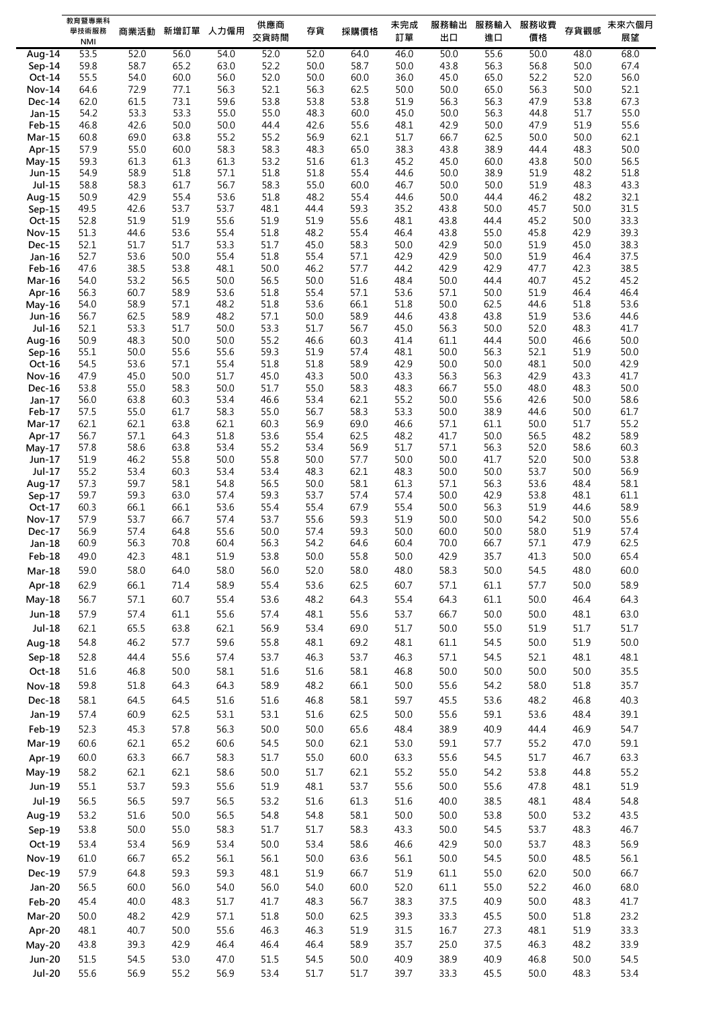|                         | 教育暨專業科<br>學技術服務 | 商業活動         | 新增訂單 人力僱用    |              | 供應商<br>交貨時間  | 存貨           | 採購價格         | 未完成<br>訂單    | 服務輸出<br>出口   | 服務輸入<br>進口   | 服務收費<br>價格   | 存貨觀感         | 未來六個月<br>展望  |
|-------------------------|-----------------|--------------|--------------|--------------|--------------|--------------|--------------|--------------|--------------|--------------|--------------|--------------|--------------|
|                         | <b>NMI</b>      |              |              |              |              |              |              |              |              |              |              |              |              |
| Aug-14                  | 53.5<br>59.8    | 52.0<br>58.7 | 56.0<br>65.2 | 54.0<br>63.0 | 52.0<br>52.2 | 52.0<br>50.0 | 64.0<br>58.7 | 46.0<br>50.0 | 50.0<br>43.8 | 55.6<br>56.3 | 50.0<br>56.8 | 48.0<br>50.0 | 68.0<br>67.4 |
| $Sep-14$<br>Oct-14      | 55.5            | 54.0         | 60.0         | 56.0         | 52.0         | 50.0         | 60.0         | 36.0         | 45.0         | 65.0         | 52.2         | 52.0         | 56.0         |
| <b>Nov-14</b>           | 64.6            | 72.9         | 77.1         | 56.3         | 52.1         | 56.3         | 62.5         | 50.0         | 50.0         | 65.0         | 56.3         | 50.0         | 52.1         |
| $Dec-14$                | 62.0            | 61.5         | 73.1         | 59.6         | 53.8         | 53.8         | 53.8         | 51.9         | 56.3         | 56.3         | 47.9         | 53.8         | 67.3         |
| Jan-15                  | 54.2            | 53.3         | 53.3         | 55.0         | 55.0         | 48.3         | 60.0         | 45.0         | 50.0         | 56.3         | 44.8         | 51.7         | 55.0         |
| Feb-15                  | 46.8            | 42.6         | 50.0         | 50.0         | 44.4         | 42.6         | 55.6         | 48.1         | 42.9         | 50.0         | 47.9         | 51.9         | 55.6         |
| Mar-15                  | 60.8            | 69.0         | 63.8         | 55.2         | 55.2         | 56.9         | 62.1         | 51.7         | 66.7         | 62.5         | 50.0         | 50.0         | 62.1         |
| Apr-15                  | 57.9            | 55.0         | 60.0         | 58.3         | 58.3         | 48.3         | 65.0         | 38.3         | 43.8         | 38.9         | 44.4         | 48.3         | 50.0         |
| May-15                  | 59.3            | 61.3         | 61.3         | 61.3         | 53.2         | 51.6         | 61.3         | 45.2         | 45.0         | 60.0         | 43.8         | 50.0         | 56.5         |
| Jun-15                  | 54.9            | 58.9         | 51.8         | 57.1         | 51.8         | 51.8         | 55.4         | 44.6         | 50.0         | 38.9         | 51.9         | 48.2         | 51.8         |
| $Jul-15$                | 58.8            | 58.3         | 61.7         | 56.7         | 58.3         | 55.0         | 60.0         | 46.7         | 50.0         | 50.0         | 51.9         | 48.3         | 43.3         |
| Aug-15                  | 50.9            | 42.9         | 55.4         | 53.6         | 51.8         | 48.2         | 55.4         | 44.6         | 50.0         | 44.4         | 46.2         | 48.2         | 32.1         |
| $Sep-15$                | 49.5            | 42.6         | 53.7         | 53.7         | 48.1         | 44.4         | 59.3         | 35.2         | 43.8         | 50.0         | 45.7         | 50.0         | 31.5<br>33.3 |
| Oct-15<br><b>Nov-15</b> | 52.8<br>51.3    | 51.9<br>44.6 | 51.9<br>53.6 | 55.6<br>55.4 | 51.9<br>51.8 | 51.9<br>48.2 | 55.6<br>55.4 | 48.1<br>46.4 | 43.8<br>43.8 | 44.4<br>55.0 | 45.2<br>45.8 | 50.0<br>42.9 | 39.3         |
| <b>Dec-15</b>           | 52.1            | 51.7         | 51.7         | 53.3         | 51.7         | 45.0         | 58.3         | 50.0         | 42.9         | 50.0         | 51.9         | 45.0         | 38.3         |
| Jan-16                  | 52.7            | 53.6         | 50.0         | 55.4         | 51.8         | 55.4         | 57.1         | 42.9         | 42.9         | 50.0         | 51.9         | 46.4         | 37.5         |
| Feb-16                  | 47.6            | 38.5         | 53.8         | 48.1         | 50.0         | 46.2         | 57.7         | 44.2         | 42.9         | 42.9         | 47.7         | 42.3         | 38.5         |
| <b>Mar-16</b>           | 54.0            | 53.2         | 56.5         | 50.0         | 56.5         | 50.0         | 51.6         | 48.4         | 50.0         | 44.4         | 40.7         | 45.2         | 45.2         |
| Apr-16                  | 56.3            | 60.7         | 58.9         | 53.6         | 51.8         | 55.4         | 57.1         | 53.6         | 57.1         | 50.0         | 51.9         | 46.4         | 46.4         |
| May-16                  | 54.0            | 58.9         | 57.1         | 48.2         | 51.8         | 53.6         | 66.1         | 51.8         | 50.0         | 62.5         | 44.6         | 51.8         | 53.6         |
| Jun-16                  | 56.7            | 62.5         | 58.9         | 48.2         | 57.1         | 50.0         | 58.9         | 44.6         | 43.8         | 43.8         | 51.9         | 53.6         | 44.6         |
| Jul-16                  | 52.1            | 53.3         | 51.7         | 50.0         | 53.3         | 51.7         | 56.7         | 45.0         | 56.3         | 50.0         | 52.0         | 48.3         | 41.7         |
| Aug-16                  | 50.9            | 48.3         | 50.0         | 50.0         | 55.2         | 46.6         | 60.3         | 41.4         | 61.1         | 44.4         | 50.0         | 46.6         | 50.0         |
| $Sep-16$                | 55.1            | 50.0         | 55.6         | 55.6         | 59.3         | 51.9         | 57.4         | 48.1         | 50.0         | 56.3         | 52.1         | 51.9         | 50.0         |
| Oct-16                  | 54.5            | 53.6         | 57.1         | 55.4         | 51.8         | 51.8         | 58.9         | 42.9         | 50.0         | 50.0         | 48.1         | 50.0         | 42.9         |
| <b>Nov-16</b><br>Dec-16 | 47.9<br>53.8    | 45.0<br>55.0 | 50.0<br>58.3 | 51.7<br>50.0 | 45.0<br>51.7 | 43.3<br>55.0 | 50.0<br>58.3 | 43.3<br>48.3 | 56.3<br>66.7 | 56.3<br>55.0 | 42.9<br>48.0 | 43.3<br>48.3 | 41.7<br>50.0 |
| Jan-17                  | 56.0            | 63.8         | 60.3         | 53.4         | 46.6         | 53.4         | 62.1         | 55.2         | 50.0         | 55.6         | 42.6         | 50.0         | 58.6         |
| Feb-17                  | 57.5            | 55.0         | 61.7         | 58.3         | 55.0         | 56.7         | 58.3         | 53.3         | 50.0         | 38.9         | 44.6         | 50.0         | 61.7         |
| Mar-17                  | 62.1            | 62.1         | 63.8         | 62.1         | 60.3         | 56.9         | 69.0         | 46.6         | 57.1         | 61.1         | 50.0         | 51.7         | 55.2         |
| Apr-17                  | 56.7            | 57.1         | 64.3         | 51.8         | 53.6         | 55.4         | 62.5         | 48.2         | 41.7         | 50.0         | 56.5         | 48.2         | 58.9         |
| May-17                  | 57.8            | 58.6         | 63.8         | 53.4         | 55.2         | 53.4         | 56.9         | 51.7         | 57.1         | 56.3         | 52.0         | 58.6         | 60.3         |
| Jun-17                  | 51.9            | 46.2         | 55.8         | 50.0         | 55.8         | 50.0         | 57.7         | 50.0         | 50.0         | 41.7         | 52.0         | 50.0         | 53.8         |
| Jul-17                  | 55.2            | 53.4         | 60.3         | 53.4         | 53.4         | 48.3         | 62.1         | 48.3         | 50.0         | 50.0         | 53.7         | 50.0         | 56.9         |
| Aug-17                  | 57.3            | 59.7         | 58.1         | 54.8         | 56.5         | 50.0         | 58.1         | 61.3         | 57.1         | 56.3         | 53.6         | 48.4         | 58.1         |
| $Sep-17$<br>Oct-17      | 59.7            | 59.3         | 63.0         | 57.4         | 59.3         | 53.7<br>55.4 | 57.4<br>67.9 | 57.4         | 50.0         | 42.9<br>56.3 | 53.8         | 48.1<br>44.6 | 61.1<br>58.9 |
| <b>Nov-17</b>           | 60.3<br>57.9    | 66.1<br>53.7 | 66.1<br>66.7 | 53.6<br>57.4 | 55.4<br>53.7 | 55.6         | 59.3         | 55.4<br>51.9 | 50.0<br>50.0 | 50.0         | 51.9<br>54.2 | 50.0         | 55.6         |
| Dec-17                  | 56.9            | 57.4         | 64.8         | 55.6         | 50.0         | 57.4         | 59.3         | 50.0         | 60.0         | 50.0         | 58.0         | 51.9         | 57.4         |
| Jan-18                  | 60.9            | 56.3         | 70.8         | 60.4         | 56.3         | 54.2         | 64.6         | 60.4         | 70.0         | 66.7         | 57.1         | 47.9         | 62.5         |
| Feb-18                  | 49.0            | 42.3         | 48.1         | 51.9         | 53.8         | 50.0         | 55.8         | 50.0         | 42.9         | 35.7         | 41.3         | 50.0         | 65.4         |
| $Mar-18$                | 59.0            | 58.0         | 64.0         | 58.0         | 56.0         | 52.0         | 58.0         | 48.0         | 58.3         | 50.0         | 54.5         | 48.0         | 60.0         |
| Apr-18                  | 62.9            | 66.1         | 71.4         | 58.9         | 55.4         | 53.6         | 62.5         | 60.7         | 57.1         | 61.1         | 57.7         | 50.0         | 58.9         |
| <b>May-18</b>           | 56.7            | 57.1         | 60.7         | 55.4         | 53.6         | 48.2         | 64.3         | 55.4         | 64.3         | 61.1         | 50.0         | 46.4         | 64.3         |
|                         |                 |              |              |              |              |              |              |              |              |              |              |              | 63.0         |
| Jun-18                  | 57.9            | 57.4         | 61.1         | 55.6         | 57.4         | 48.1         | 55.6         | 53.7         | 66.7         | 50.0         | 50.0         | 48.1         |              |
| $Jul-18$                | 62.1            | 65.5         | 63.8         | 62.1         | 56.9         | 53.4         | 69.0         | 51.7         | 50.0         | 55.0         | 51.9         | 51.7         | 51.7         |
| Aug-18                  | 54.8            | 46.2         | 57.7         | 59.6         | 55.8         | 48.1         | 69.2         | 48.1         | 61.1         | 54.5         | 50.0         | 51.9         | 50.0         |
| Sep-18                  | 52.8            | 44.4         | 55.6         | 57.4         | 53.7         | 46.3         | 53.7         | 46.3         | 57.1         | 54.5         | 52.1         | 48.1         | 48.1         |
| Oct-18                  | 51.6            | 46.8         | 50.0         | 58.1         | 51.6         | 51.6         | 58.1         | 46.8         | $50.0$       | 50.0         | 50.0         | 50.0         | 35.5         |
| <b>Nov-18</b>           | 59.8            | 51.8         | 64.3         | 64.3         | 58.9         | 48.2         | 66.1         | 50.0         | 55.6         | 54.2         | 58.0         | 51.8         | 35.7         |
| <b>Dec-18</b>           | 58.1            | 64.5         | 64.5         | 51.6         | 51.6         | 46.8         | 58.1         | 59.7         | 45.5         | 53.6         | 48.2         | 46.8         | 40.3         |
| Jan-19                  | 57.4            | 60.9         | 62.5         | 53.1         | 53.1         | 51.6         | 62.5         | 50.0         | 55.6         | 59.1         | 53.6         | 48.4         | 39.1         |
| Feb-19                  | 52.3            | 45.3         | 57.8         | 56.3         | 50.0         | 50.0         | 65.6         | 48.4         | 38.9         | 40.9         | 44.4         | 46.9         | 54.7         |
| Mar-19                  | 60.6            | 62.1         | 65.2         | 60.6         | 54.5         | 50.0         | 62.1         | 53.0         | 59.1         | 57.7         | 55.2         | 47.0         | 59.1         |
| Apr-19                  | 60.0            | 63.3         | 66.7         | 58.3         | 51.7         | 55.0         | 60.0         | 63.3         | 55.6         | 54.5         | 51.7         | 46.7         | 63.3         |
|                         |                 |              |              |              |              |              |              |              |              |              |              |              |              |
| May-19                  | 58.2            | 62.1         | 62.1         | 58.6         | 50.0         | 51.7         | 62.1         | 55.2         | 55.0         | 54.2         | 53.8         | 44.8         | 55.2         |
| Jun-19                  | 55.1            | 53.7         | 59.3         | 55.6         | 51.9         | 48.1         | 53.7         | 55.6         | 50.0         | 55.6         | 47.8         | 48.1         | 51.9         |
| $Jul-19$                | 56.5            | 56.5         | 59.7         | 56.5         | 53.2         | 51.6         | 61.3         | 51.6         | 40.0         | 38.5         | 48.1         | 48.4         | 54.8         |
| Aug-19                  | 53.2            | 51.6         | 50.0         | 56.5         | 54.8         | 54.8         | 58.1         | 50.0         | 50.0         | 53.8         | 50.0         | 53.2         | 43.5         |
| Sep-19                  | 53.8            | 50.0         | 55.0         | 58.3         | 51.7         | 51.7         | 58.3         | 43.3         | 50.0         | 54.5         | 53.7         | 48.3         | 46.7         |
| $Oct-19$                | 53.4            | 53.4         | 56.9         | 53.4         | 50.0         | 53.4         | 58.6         | 46.6         | 42.9         | 50.0         | 53.7         | 48.3         | 56.9         |
| <b>Nov-19</b>           | 61.0            | 66.7         | 65.2         | 56.1         | 56.1         | 50.0         | 63.6         | 56.1         | 50.0         | 54.5         | 50.0         | 48.5         | 56.1         |
| Dec-19                  | 57.9            | 64.8         | 59.3         | 59.3         | 48.1         | 51.9         | 66.7         | 51.9         | 61.1         | 55.0         | 62.0         | 50.0         | 66.7         |
| Jan-20                  | 56.5            | 60.0         | 56.0         | 54.0         | 56.0         | 54.0         | 60.0         | 52.0         | 61.1         | 55.0         | 52.2         | 46.0         | 68.0         |
|                         | 45.4            | 40.0         | 48.3         | 51.7         | 41.7         | 48.3         | 56.7         | 38.3         | 37.5         | 40.9         | 50.0         | 48.3         | 41.7         |
| <b>Feb-20</b>           |                 |              |              |              |              |              |              |              |              |              |              |              |              |
| Mar-20                  | 50.0            | 48.2         | 42.9         | 57.1         | 51.8         | 50.0         | 62.5         | 39.3         | 33.3         | 45.5         | 50.0         | 51.8         | 23.2         |
| Apr-20                  | 48.1            | 40.7         | 50.0         | 55.6         | 46.3         | 46.3         | 51.9         | 31.5         | 16.7         | 27.3         | 48.1         | 51.9         | 33.3         |
| May-20                  | 43.8            | 39.3         | 42.9         | 46.4         | 46.4         | 46.4         | 58.9         | 35.7         | 25.0         | 37.5         | 46.3         | 48.2         | 33.9         |
| <b>Jun-20</b>           | 51.5            | 54.5         | 53.0         | 47.0         | 51.5         | 54.5         | 50.0         | 40.9         | 38.9         | 40.9         | 46.8         | 50.0         | 54.5         |
| $Jul-20$                | 55.6            | 56.9         | 55.2         | 56.9         | 53.4         | 51.7         | 51.7         | 39.7         | 33.3         | 45.5         | 50.0         | 48.3         | 53.4         |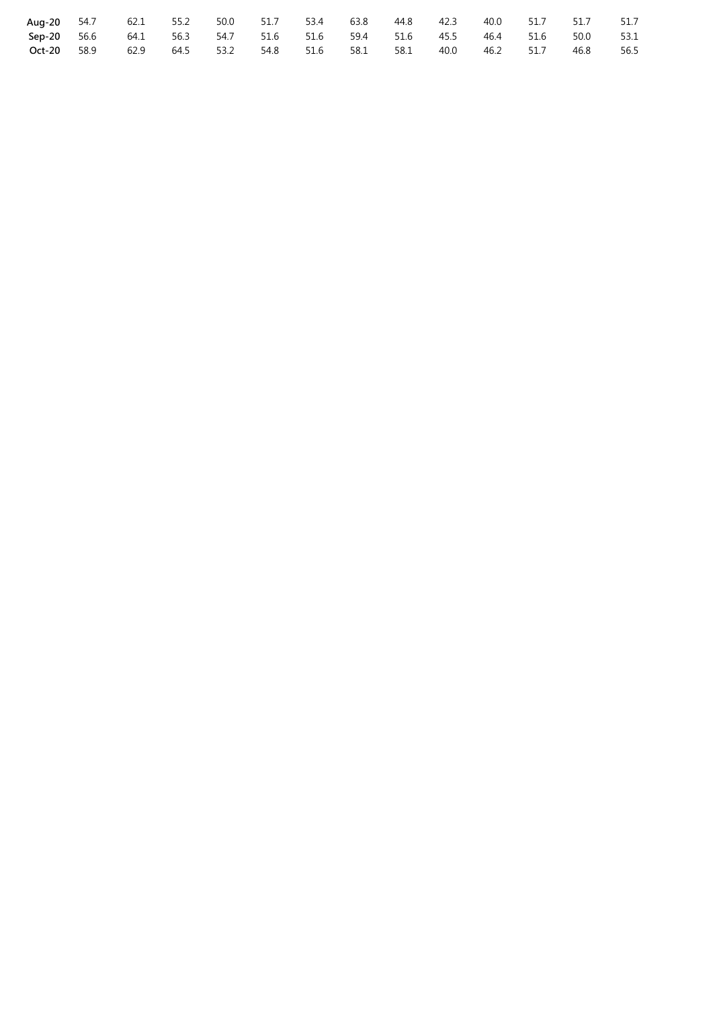|             | Aug-20 54.7 62.1 55.2                                                   | 50.0 51.7 53.4 |  | 63.8                          | 44.8 42.3 | 40.0           | 51.7 51.7 |      | 51.7 |
|-------------|-------------------------------------------------------------------------|----------------|--|-------------------------------|-----------|----------------|-----------|------|------|
|             | Sep-20 56.6 64.1 56.3 54.7 51.6 51.6 59.4 51.6 45.5 46.4 51.6 50.0 53.1 |                |  |                               |           |                |           |      |      |
| Oct-20 58.9 | 62.9                                                                    |                |  | 64.5 53.2 54.8 51.6 58.1 58.1 |           | 40.0 46.2 51.7 |           | 46.8 | 56.5 |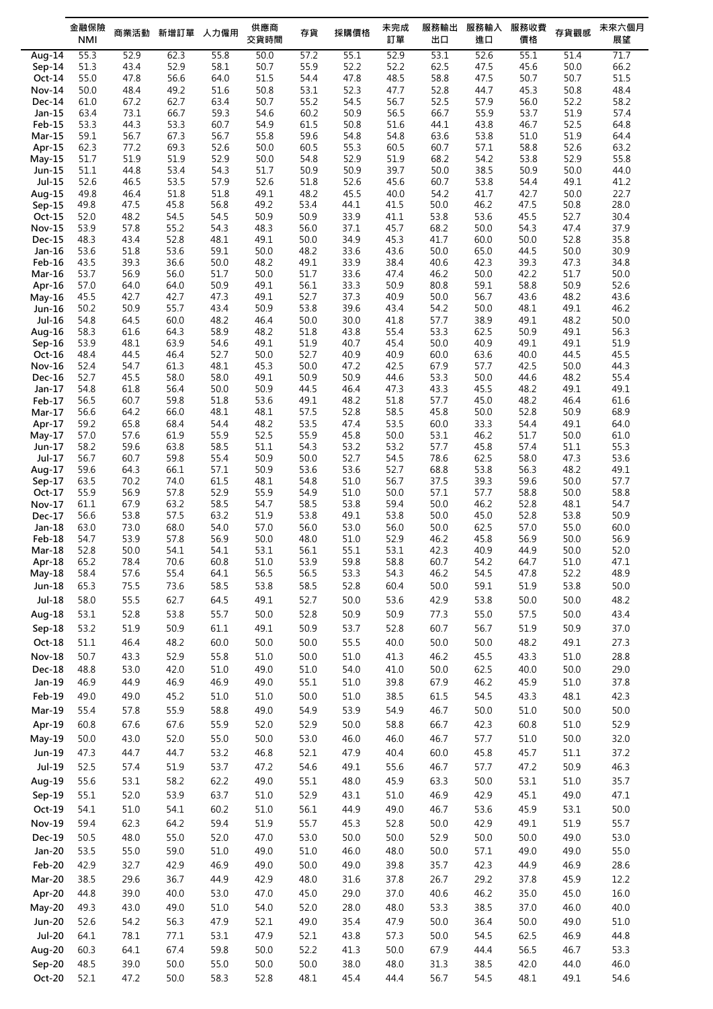|                         | 金融保險<br><b>NMI</b> | 商業活動         | 新增訂單         | 人力僱用         | 供應商<br>交貨時間  | 存貨           | 採購價格         | 未完成<br>訂單    | 服務輸出<br>出口   | 服務輸入<br>進口   | 服務收費<br>價格   | 存貨觀感         | 未來六個月<br>展望  |
|-------------------------|--------------------|--------------|--------------|--------------|--------------|--------------|--------------|--------------|--------------|--------------|--------------|--------------|--------------|
|                         |                    |              |              | 55.8         |              |              | 55.1         |              | 53.1         | 52.6         |              | 51.4         | 71.7         |
| Aug- $14$<br>$Sep-14$   | 55.3<br>51.3       | 52.9<br>43.4 | 62.3<br>52.9 | 58.1         | 50.0<br>50.7 | 57.2<br>55.9 | 52.2         | 52.9<br>52.2 | 62.5         | 47.5         | 55.1<br>45.6 | 50.0         | 66.2         |
| $Oct-14$                | 55.0               | 47.8         | 56.6         | 64.0         | 51.5         | 54.4         | 47.8         | 48.5         | 58.8         | 47.5         | 50.7         | 50.7         | 51.5         |
| <b>Nov-14</b>           | 50.0               | 48.4         | 49.2         | 51.6         | 50.8         | 53.1         | 52.3         | 47.7         | 52.8         | 44.7         | 45.3         | 50.8         | 48.4         |
| <b>Dec-14</b>           | 61.0               | 67.2         | 62.7         | 63.4         | 50.7         | 55.2         | 54.5         | 56.7         | 52.5         | 57.9         | 56.0         | 52.2         | 58.2         |
| Jan-15                  | 63.4               | 73.1         | 66.7         | 59.3         | 54.6         | 60.2         | 50.9         | 56.5         | 66.7         | 55.9         | 53.7         | 51.9         | 57.4         |
| Feb-15                  | 53.3               | 44.3         | 53.3         | 60.7         | 54.9         | 61.5         | 50.8         | 51.6         | 44.1         | 43.8         | 46.7         | 52.5         | 64.8         |
| <b>Mar-15</b>           | 59.1               | 56.7         | 67.3         | 56.7         | 55.8         | 59.6         | 54.8         | 54.8         | 63.6         | 53.8         | 51.0         | 51.9         | 64.4         |
| Apr-15                  | 62.3               | 77.2         | 69.3         | 52.6         | 50.0         | 60.5         | 55.3         | 60.5         | 60.7         | 57.1         | 58.8         | 52.6         | 63.2         |
| May-15                  | 51.7<br>51.1       | 51.9<br>44.8 | 51.9<br>53.4 | 52.9<br>54.3 | 50.0<br>51.7 | 54.8<br>50.9 | 52.9<br>50.9 | 51.9<br>39.7 | 68.2<br>50.0 | 54.2<br>38.5 | 53.8<br>50.9 | 52.9<br>50.0 | 55.8<br>44.0 |
| Jun-15<br>Jul-15        | 52.6               | 46.5         | 53.5         | 57.9         | 52.6         | 51.8         | 52.6         | 45.6         | 60.7         | 53.8         | 54.4         | 49.1         | 41.2         |
| Aug-15                  | 49.8               | 46.4         | 51.8         | 51.8         | 49.1         | 48.2         | 45.5         | 40.0         | 54.2         | 41.7         | 42.7         | 50.0         | 22.7         |
| $Sep-15$                | 49.8               | 47.5         | 45.8         | 56.8         | 49.2         | 53.4         | 44.1         | 41.5         | 50.0         | 46.2         | 47.5         | 50.8         | 28.0         |
| Oct-15                  | 52.0               | 48.2         | 54.5         | 54.5         | 50.9         | 50.9         | 33.9         | 41.1         | 53.8         | 53.6         | 45.5         | 52.7         | 30.4         |
| <b>Nov-15</b>           | 53.9               | 57.8         | 55.2         | 54.3         | 48.3         | 56.0         | 37.1         | 45.7         | 68.2         | 50.0         | 54.3         | 47.4         | 37.9         |
| <b>Dec-15</b>           | 48.3               | 43.4         | 52.8         | 48.1         | 49.1         | 50.0         | 34.9         | 45.3         | 41.7         | 60.0         | 50.0         | 52.8         | 35.8         |
| Jan-16                  | 53.6               | 51.8         | 53.6         | 59.1         | 50.0         | 48.2         | 33.6         | 43.6         | 50.0         | 65.0         | 44.5         | 50.0         | 30.9         |
| Feb-16<br><b>Mar-16</b> | 43.5<br>53.7       | 39.3<br>56.9 | 36.6<br>56.0 | 50.0<br>51.7 | 48.2<br>50.0 | 49.1<br>51.7 | 33.9<br>33.6 | 38.4<br>47.4 | 40.6<br>46.2 | 42.3<br>50.0 | 39.3<br>42.2 | 47.3<br>51.7 | 34.8<br>50.0 |
| Apr-16                  | 57.0               | 64.0         | 64.0         | 50.9         | 49.1         | 56.1         | 33.3         | 50.9         | 80.8         | 59.1         | 58.8         | 50.9         | 52.6         |
| $May-16$                | 45.5               | 42.7         | 42.7         | 47.3         | 49.1         | 52.7         | 37.3         | 40.9         | 50.0         | 56.7         | 43.6         | 48.2         | 43.6         |
| Jun-16                  | 50.2               | 50.9         | 55.7         | 43.4         | 50.9         | 53.8         | 39.6         | 43.4         | 54.2         | 50.0         | 48.1         | 49.1         | 46.2         |
| Jul-16                  | 54.8               | 64.5         | 60.0         | 48.2         | 46.4         | 50.0         | 30.0         | 41.8         | 57.7         | 38.9         | 49.1         | 48.2         | 50.0         |
| Aug-16                  | 58.3               | 61.6         | 64.3         | 58.9         | 48.2         | 51.8         | 43.8         | 55.4         | 53.3         | 62.5         | 50.9         | 49.1         | 56.3         |
| $Sep-16$                | 53.9               | 48.1         | 63.9         | 54.6         | 49.1         | 51.9         | 40.7         | 45.4         | 50.0         | 40.9         | 49.1         | 49.1         | 51.9         |
| Oct-16                  | 48.4               | 44.5         | 46.4         | 52.7         | 50.0         | 52.7         | 40.9<br>47.2 | 40.9         | 60.0<br>67.9 | 63.6         | 40.0<br>42.5 | 44.5         | 45.5         |
| <b>Nov-16</b><br>Dec-16 | 52.4<br>52.7       | 54.7<br>45.5 | 61.3<br>58.0 | 48.1<br>58.0 | 45.3<br>49.1 | 50.0<br>50.9 | 50.9         | 42.5<br>44.6 | 53.3         | 57.7<br>50.0 | 44.6         | 50.0<br>48.2 | 44.3<br>55.4 |
| Jan-17                  | 54.8               | 61.8         | 56.4         | 50.0         | 50.9         | 44.5         | 46.4         | 47.3         | 43.3         | 45.5         | 48.2         | 49.1         | 49.1         |
| Feb-17                  | 56.5               | 60.7         | 59.8         | 51.8         | 53.6         | 49.1         | 48.2         | 51.8         | 57.7         | 45.0         | 48.2         | 46.4         | 61.6         |
| Mar-17                  | 56.6               | 64.2         | 66.0         | 48.1         | 48.1         | 57.5         | 52.8         | 58.5         | 45.8         | 50.0         | 52.8         | 50.9         | 68.9         |
| Apr-17                  | 59.2               | 65.8         | 68.4         | 54.4         | 48.2         | 53.5         | 47.4         | 53.5         | 60.0         | 33.3         | 54.4         | 49.1         | 64.0         |
| $May-17$                | 57.0               | 57.6         | 61.9         | 55.9         | 52.5         | 55.9         | 45.8         | 50.0         | 53.1         | 46.2         | 51.7         | 50.0         | 61.0         |
| Jun-17                  | 58.2               | 59.6         | 63.8         | 58.5         | 51.1         | 54.3         | 53.2         | 53.2         | 57.7         | 45.8         | 57.4         | 51.1         | 55.3         |
| Jul-17<br>Aug-17        | 56.7<br>59.6       | 60.7<br>64.3 | 59.8<br>66.1 | 55.4<br>57.1 | 50.9<br>50.9 | 50.0<br>53.6 | 52.7<br>53.6 | 54.5<br>52.7 | 78.6<br>68.8 | 62.5<br>53.8 | 58.0<br>56.3 | 47.3<br>48.2 | 53.6<br>49.1 |
| $Sep-17$                | 63.5               | 70.2         | 74.0         | 61.5         | 48.1         | 54.8         | 51.0         | 56.7         | 37.5         | 39.3         | 59.6         | 50.0         | 57.7         |
| $Oct-17$                | 55.9               | 56.9         | 57.8         | 52.9         | 55.9         | 54.9         | 51.0         | 50.0         | 57.1         | 57.7         | 58.8         | 50.0         | 58.8         |
| Nov-17                  | 61.1               | 67.9         | 63.2         | 58.5         | 54.7         | 58.5         | 53.8         | 59.4         | 50.0         | 46.2         | 52.8         | 48.1         | 54.7         |
| Dec-17                  | 56.6               | 53.8         | 57.5         | 63.2         | 51.9         | 53.8         | 49.1         | 53.8         | 50.0         | 45.0         | 52.8         | 53.8         | 50.9         |
| Jan-18                  | 63.0               | 73.0         | 68.0         | 54.0         | 57.0         | 56.0         | 53.0         | 56.0         | 50.0         | 62.5         | 57.0         | 55.0         | 60.0         |
| Feb-18                  | 54.7               | 53.9         | 57.8         | 56.9         | 50.0         | 48.0         | 51.0         | 52.9         | 46.2         | 45.8         | 56.9         | 50.0         | 56.9         |
| Mar-18                  | 52.8               | 50.0         | 54.1         | 54.1         | 53.1         | 56.1         | 55.1         | 53.1         | 42.3         | 40.9         | 44.9         | 50.0         | 52.0         |
| Apr-18<br>$May-18$      | 65.2<br>58.4       | 78.4<br>57.6 | 70.6<br>55.4 | 60.8<br>64.1 | 51.0<br>56.5 | 53.9<br>56.5 | 59.8<br>53.3 | 58.8<br>54.3 | 60.7<br>46.2 | 54.2<br>54.5 | 64.7<br>47.8 | 51.0<br>52.2 | 47.1<br>48.9 |
| Jun-18                  | 65.3               | 75.5         | 73.6         | 58.5         | 53.8         | 58.5         | 52.8         | 60.4         | 50.0         | 59.1         | 51.9         | 53.8         | 50.0         |
| $Jul-18$                | 58.0               | 55.5         | 62.7         | 64.5         | 49.1         | 52.7         | 50.0         | 53.6         | 42.9         | 53.8         | 50.0         | 50.0         | 48.2         |
| Aug-18                  | 53.1               | 52.8         | 53.8         | 55.7         | 50.0         | 52.8         | 50.9         | 50.9         | 77.3         | 55.0         | 57.5         | 50.0         | 43.4         |
|                         |                    |              |              |              |              |              |              |              |              |              |              | 50.9         | 37.0         |
| Sep-18                  | 53.2               | 51.9         | 50.9         | 61.1         | 49.1         | 50.9         | 53.7         | 52.8         | 60.7         | 56.7         | 51.9         |              |              |
| Oct-18                  | 51.1               | 46.4         | 48.2         | 60.0         | 50.0         | 50.0         | 55.5         | 40.0         | 50.0         | 50.0         | 48.2         | 49.1         | 27.3         |
| <b>Nov-18</b>           | 50.7               | 43.3         | 52.9         | 55.8         | 51.0         | 50.0         | 51.0         | 41.3         | 46.2         | 45.5         | 43.3         | 51.0         | 28.8         |
| <b>Dec-18</b>           | 48.8               | 53.0         | 42.0         | 51.0         | 49.0         | 51.0         | 54.0         | 41.0         | 50.0         | 62.5         | 40.0         | 50.0         | 29.0         |
| Jan-19                  | 46.9               | 44.9         | 46.9         | 46.9         | 49.0         | 55.1         | $51.0\,$     | 39.8         | 67.9         | 46.2         | 45.9         | 51.0         | 37.8         |
| Feb-19                  | 49.0               | 49.0         | 45.2         | 51.0         | 51.0         | 50.0         | $51.0\,$     | 38.5         | 61.5         | 54.5         | 43.3         | 48.1         | 42.3         |
| Mar-19                  | 55.4               | 57.8         | 55.9         | 58.8         | 49.0         | 54.9         | 53.9         | 54.9         | 46.7         | $50.0$       | 51.0         | 50.0         | 50.0         |
| Apr-19                  | 60.8               | 67.6         | 67.6         | 55.9         | 52.0         | 52.9         | 50.0         | 58.8         | 66.7         | 42.3         | 60.8         | 51.0         | 52.9         |
| May-19                  | 50.0               | 43.0         | 52.0         | 55.0         | 50.0         | 53.0         | 46.0         | 46.0         | 46.7         | 57.7         | 51.0         | 50.0         | 32.0         |
| Jun-19                  | 47.3               | 44.7         | 44.7         | 53.2         | 46.8         | 52.1         | 47.9         | 40.4         | 60.0         | 45.8         | 45.7         | 51.1         | 37.2         |
| Jul-19                  | 52.5               | 57.4         | 51.9         | 53.7         | 47.2         | 54.6         | 49.1         | 55.6         | 46.7         | 57.7         | 47.2         | 50.9         | 46.3         |
| Aug-19                  | 55.6               | 53.1         | 58.2         | 62.2         | 49.0         | 55.1         | 48.0         | 45.9         | 63.3         | $50.0$       | 53.1         | 51.0         | 35.7         |
| Sep-19                  | 55.1               | 52.0         | 53.9         | 63.7         | 51.0         | 52.9         | 43.1         | 51.0         | 46.9         | 42.9         | 45.1         | 49.0         | 47.1         |
| Oct-19                  | 54.1               | 51.0         | 54.1         | 60.2         | 51.0         | 56.1         | 44.9         | 49.0         | 46.7         | 53.6         | 45.9         | 53.1         | $50.0$       |
| <b>Nov-19</b>           | 59.4               | 62.3         | 64.2         | 59.4         | 51.9         | 55.7         | 45.3         | 52.8         | 50.0         | 42.9         | 49.1         | 51.9         | 55.7         |
| Dec-19                  | 50.5               | 48.0         | 55.0         | 52.0         | 47.0         | 53.0         | 50.0         | 50.0         | 52.9         | 50.0         | 50.0         | 49.0         | 53.0         |
| Jan-20                  | 53.5               | 55.0         | 59.0         | 51.0         | 49.0         | 51.0         | 46.0         | 48.0         | 50.0         | 57.1         | 49.0         | 49.0         | 55.0         |
|                         | 42.9               |              |              | 46.9         |              |              |              |              |              |              |              | 46.9         |              |
| Feb-20                  |                    | 32.7         | 42.9         |              | 49.0         | 50.0         | 49.0         | 39.8         | 35.7         | 42.3         | 44.9         |              | 28.6         |
| Mar-20                  | 38.5               | 29.6         | 36.7         | 44.9         | 42.9         | 48.0         | 31.6         | 37.8         | 26.7         | 29.2         | 37.8         | 45.9         | 12.2         |
| Apr-20                  | 44.8               | 39.0         | 40.0         | 53.0         | 47.0         | 45.0         | 29.0         | 37.0         | 40.6         | 46.2         | 35.0         | 45.0         | 16.0         |
| $May-20$                | 49.3               | 43.0         | 49.0         | 51.0         | 54.0         | 52.0         | 28.0         | 48.0         | 53.3         | 38.5         | 37.0         | 46.0         | 40.0         |
| <b>Jun-20</b>           | 52.6               | 54.2         | 56.3         | 47.9         | 52.1         | 49.0         | 35.4         | 47.9         | 50.0         | 36.4         | 50.0         | 49.0         | 51.0         |
| <b>Jul-20</b>           | 64.1               | 78.1         | 77.1         | 53.1         | 47.9         | 52.1         | 43.8         | 57.3         | 50.0         | 54.5         | 62.5         | 46.9         | 44.8         |
| Aug-20                  | 60.3               | 64.1         | 67.4         | 59.8         | 50.0         | 52.2         | 41.3         | 50.0         | 67.9         | 44.4         | 56.5         | 46.7         | 53.3         |
| Sep-20                  | 48.5               | 39.0         | 50.0         | 55.0         | 50.0         | 50.0         | 38.0         | 48.0         | 31.3         | 38.5         | 42.0         | 44.0         | 46.0         |
| Oct-20                  | 52.1               | 47.2         | 50.0         | 58.3         | 52.8         | 48.1         | 45.4         | 44.4         | 56.7         | 54.5         | 48.1         | 49.1         | 54.6         |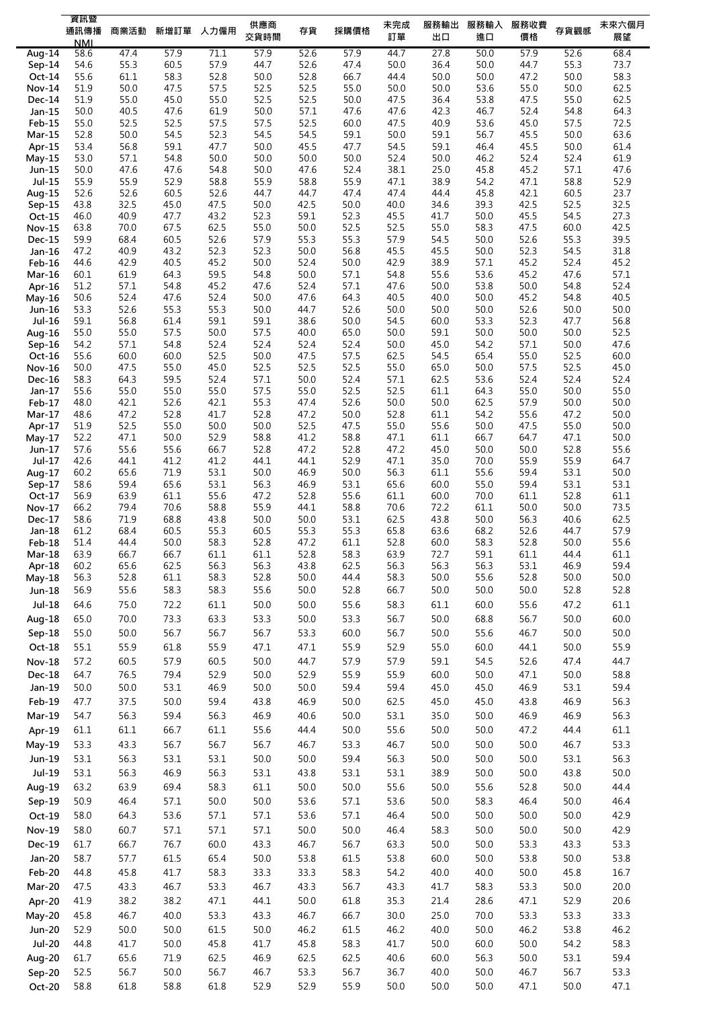|                           | 資訊暨<br>通訊傳播  | 商業活動         |              | 新增訂單 人力僱用    | 供應商          | 存貨           | 採購價格         | 未完成          | 服務輸出         | 服務輸入         | 服務收費           | 存貨觀感         | 未來六個月        |
|---------------------------|--------------|--------------|--------------|--------------|--------------|--------------|--------------|--------------|--------------|--------------|----------------|--------------|--------------|
|                           | <b>NMI</b>   |              |              |              | 交貨時間         |              |              | 訂單           | 出口           | 進口           | 價格             |              | 展望           |
| Aug-14                    | 58.6<br>54.6 | 47.4<br>55.3 | 57.9<br>60.5 | 71.1<br>57.9 | 57.9<br>44.7 | 52.6<br>52.6 | 57.9<br>47.4 | 44.7<br>50.0 | 27.8<br>36.4 | 50.0<br>50.0 | 57.9<br>44.7   | 52.6<br>55.3 | 68.4<br>73.7 |
| Sep-14<br>Oct-14          | 55.6         | 61.1         | 58.3         | 52.8         | 50.0         | 52.8         | 66.7         | 44.4         | 50.0         | 50.0         | 47.2           | 50.0         | 58.3         |
| <b>Nov-14</b>             | 51.9         | 50.0         | 47.5         | 57.5         | 52.5         | 52.5         | 55.0         | 50.0         | 50.0         | 53.6         | 55.0           | 50.0         | 62.5         |
| <b>Dec-14</b>             | 51.9         | 55.0         | 45.0         | 55.0         | 52.5         | 52.5         | 50.0         | 47.5         | 36.4         | 53.8         | 47.5           | 55.0         | 62.5         |
| Jan-15                    | 50.0         | 40.5         | 47.6         | 61.9         | 50.0         | 57.1         | 47.6         | 47.6         | 42.3         | 46.7         | 52.4           | 54.8         | 64.3         |
| $Feb-15$                  | 55.0         | 52.5         | 52.5         | 57.5         | 57.5         | 52.5         | 60.0         | 47.5         | 40.9         | 53.6         | 45.0           | 57.5         | 72.5         |
| $Mar-15$<br>Apr-15        | 52.8<br>53.4 | 50.0<br>56.8 | 54.5<br>59.1 | 52.3<br>47.7 | 54.5<br>50.0 | 54.5<br>45.5 | 59.1<br>47.7 | 50.0<br>54.5 | 59.1<br>59.1 | 56.7<br>46.4 | 45.5<br>45.5   | 50.0<br>50.0 | 63.6<br>61.4 |
| $May-15$                  | 53.0         | 57.1         | 54.8         | 50.0         | 50.0         | 50.0         | 50.0         | 52.4         | 50.0         | 46.2         | 52.4           | 52.4         | 61.9         |
| Jun-15                    | 50.0         | 47.6         | 47.6         | 54.8         | 50.0         | 47.6         | 52.4         | 38.1         | 25.0         | 45.8         | 45.2           | 57.1         | 47.6         |
| Jul-15                    | 55.9         | 55.9         | 52.9         | 58.8         | 55.9         | 58.8         | 55.9         | 47.1         | 38.9         | 54.2         | 47.1           | 58.8         | 52.9         |
| Aug-15                    | 52.6         | 52.6         | 60.5         | 52.6         | 44.7         | 44.7         | 47.4         | 47.4         | 44.4         | 45.8         | 42.1           | 60.5         | 23.7         |
| $Sep-15$                  | 43.8<br>46.0 | 32.5<br>40.9 | 45.0<br>47.7 | 47.5<br>43.2 | 50.0<br>52.3 | 42.5<br>59.1 | 50.0<br>52.3 | 40.0<br>45.5 | 34.6<br>41.7 | 39.3<br>50.0 | 42.5<br>45.5   | 52.5<br>54.5 | 32.5<br>27.3 |
| $Oct-15$<br><b>Nov-15</b> | 63.8         | 70.0         | 67.5         | 62.5         | 55.0         | 50.0         | 52.5         | 52.5         | 55.0         | 58.3         | 47.5           | 60.0         | 42.5         |
| <b>Dec-15</b>             | 59.9         | 68.4         | 60.5         | 52.6         | 57.9         | 55.3         | 55.3         | 57.9         | 54.5         | 50.0         | 52.6           | 55.3         | 39.5         |
| $Jan-16$                  | 47.2         | 40.9         | 43.2         | 52.3         | 52.3         | 50.0         | 56.8         | 45.5         | 45.5         | 50.0         | 52.3           | 54.5         | 31.8         |
| Feb-16                    | 44.6         | 42.9         | 40.5         | 45.2         | 50.0         | 52.4         | 50.0         | 42.9         | 38.9         | 57.1         | 45.2           | 52.4         | 45.2         |
| Mar-16                    | 60.1<br>51.2 | 61.9         | 64.3         | 59.5         | 54.8         | 50.0         | 57.1<br>57.1 | 54.8<br>47.6 | 55.6         | 53.6         | 45.2           | 47.6<br>54.8 | 57.1<br>52.4 |
| Apr-16<br>May-16          | 50.6         | 57.1<br>52.4 | 54.8<br>47.6 | 45.2<br>52.4 | 47.6<br>50.0 | 52.4<br>47.6 | 64.3         | 40.5         | 50.0<br>40.0 | 53.8<br>50.0 | 50.0<br>45.2   | 54.8         | 40.5         |
| Jun-16                    | 53.3         | 52.6         | 55.3         | 55.3         | 50.0         | 44.7         | 52.6         | 50.0         | 50.0         | 50.0         | 52.6           | 50.0         | 50.0         |
| Jul-16                    | 59.1         | 56.8         | 61.4         | 59.1         | 59.1         | 38.6         | 50.0         | 54.5         | 60.0         | 53.3         | 52.3           | 47.7         | 56.8         |
| Aug-16                    | 55.0         | 55.0         | 57.5         | 50.0         | 57.5         | 40.0         | 65.0         | 50.0         | 59.1         | 50.0         | 50.0           | 50.0         | 52.5         |
| $Sep-16$                  | 54.2         | 57.1         | 54.8         | 52.4         | 52.4         | 52.4         | 52.4         | 50.0         | 45.0         | 54.2         | 57.1           | 50.0         | 47.6         |
| Oct-16<br>Nov-16          | 55.6<br>50.0 | 60.0<br>47.5 | 60.0<br>55.0 | 52.5<br>45.0 | 50.0<br>52.5 | 47.5<br>52.5 | 57.5<br>52.5 | 62.5<br>55.0 | 54.5<br>65.0 | 65.4<br>50.0 | 55.0<br>57.5   | 52.5<br>52.5 | 60.0<br>45.0 |
| Dec-16                    | 58.3         | 64.3         | 59.5         | 52.4         | 57.1         | 50.0         | 52.4         | 57.1         | 62.5         | 53.6         | 52.4           | 52.4         | 52.4         |
| Jan-17                    | 55.6         | 55.0         | 55.0         | 55.0         | 57.5         | 55.0         | 52.5         | 52.5         | 61.1         | 64.3         | 55.0           | 50.0         | 55.0         |
| Feb-17                    | 48.0         | 42.1         | 52.6         | 42.1         | 55.3         | 47.4         | 52.6         | 50.0         | 50.0         | 62.5         | 57.9           | 50.0         | 50.0         |
| $Mar-17$                  | 48.6         | 47.2         | 52.8         | 41.7         | 52.8         | 47.2         | 50.0         | 52.8         | 61.1         | 54.2         | 55.6           | 47.2         | 50.0         |
| Apr-17                    | 51.9<br>52.2 | 52.5         | 55.0<br>50.0 | 50.0<br>52.9 | 50.0         | 52.5         | 47.5<br>58.8 | 55.0<br>47.1 | 55.6<br>61.1 | 50.0<br>66.7 | 47.5<br>64.7   | 55.0<br>47.1 | 50.0         |
| $May-17$<br>Jun-17        | 57.6         | 47.1<br>55.6 | 55.6         | 66.7         | 58.8<br>52.8 | 41.2<br>47.2 | 52.8         | 47.2         | 45.0         | 50.0         | 50.0           | 52.8         | 50.0<br>55.6 |
| Jul-17                    | 42.6         | 44.1         | 41.2         | 41.2         | 44.1         | 44.1         | 52.9         | 47.1         | 35.0         | 70.0         | 55.9           | 55.9         | 64.7         |
| Aug-17                    | 60.2         | 65.6         | 71.9         | 53.1         | 50.0         | 46.9         | 50.0         | 56.3         | 61.1         | 55.6         | 59.4           | 53.1         | 50.0         |
| Sep-17                    | 58.6         | 59.4         | 65.6         | 53.1         | 56.3         | 46.9         | 53.1         | 65.6         | 60.0         | 55.0         | 59.4           | 53.1         | 53.1         |
| $Oct-17$                  | 56.9<br>66.2 | 63.9<br>79.4 | 61.1<br>70.6 | 55.6<br>58.8 | 47.2<br>55.9 | 52.8<br>44.1 | 55.6<br>58.8 | 61.1<br>70.6 | 60.0         | 70.0<br>61.1 | 61.1<br>50.0   | 52.8<br>50.0 | 61.1<br>73.5 |
| <b>Nov-17</b><br>Dec-17   | 58.6         | 71.9         | 68.8         | 43.8         | 50.0         | 50.0         | 53.1         | 62.5         | 72.2<br>43.8 | 50.0         | 56.3           | 40.6         | 62.5         |
| Jan-18                    | 61.2         | 68.4         | 60.5         | 55.3         | 60.5         | 55.3         | 55.3         | 65.8         | 63.6         | 68.2         | 52.6           | 44.7         | 57.9         |
| Feb-18                    | 51.4         | 44.4         | 50.0         | 58.3         | 52.8         | 47.2         | 61.1         | 52.8         | 60.0         | 58.3         | 52.8           | 50.0         | 55.6         |
| $Mar-18$                  | 63.9         | 66.7         | 66.7         | 61.1         | 61.1         | 52.8         | 58.3         | 63.9         | 72.7         | 59.1         | 61.1           | 44.4         | 61.1         |
| Apr-18                    | 60.2         | 65.6         | 62.5         | 56.3         | 56.3         | 43.8         | 62.5         | 56.3         | 56.3         | 56.3         | 53.1           | 46.9         | 59.4         |
| May-18<br>Jun-18          | 56.3<br>56.9 | 52.8<br>55.6 | 61.1<br>58.3 | 58.3<br>58.3 | 52.8<br>55.6 | 50.0<br>50.0 | 44.4<br>52.8 | 58.3<br>66.7 | 50.0<br>50.0 | 55.6<br>50.0 | 52.8<br>$50.0$ | 50.0<br>52.8 | 50.0<br>52.8 |
| $Jul-18$                  | 64.6         | 75.0         | 72.2         | 61.1         | 50.0         | 50.0         | 55.6         | 58.3         | 61.1         | 60.0         | 55.6           | 47.2         | 61.1         |
|                           | 65.0         |              | 73.3         |              | 53.3         |              | 53.3         | 56.7         |              | 68.8         | 56.7           | 50.0         | 60.0         |
| Aug-18                    |              | 70.0         |              | 63.3         |              | 50.0         |              |              | 50.0         |              |                |              |              |
| Sep-18                    | 55.0         | 50.0         | 56.7         | 56.7         | 56.7         | 53.3         | 60.0         | 56.7         | 50.0         | 55.6         | 46.7           | 50.0         | 50.0         |
| $Oct-18$                  | 55.1         | 55.9         | 61.8         | 55.9         | 47.1         | 47.1         | 55.9         | 52.9         | 55.0         | 60.0         | 44.1           | 50.0         | 55.9         |
| <b>Nov-18</b>             | 57.2<br>64.7 | 60.5<br>76.5 | 57.9<br>79.4 | 60.5<br>52.9 | 50.0         | 44.7<br>52.9 | 57.9<br>55.9 | 57.9<br>55.9 | 59.1         | 54.5<br>50.0 | 52.6           | 47.4         | 44.7<br>58.8 |
| Dec-18<br>Jan-19          | 50.0         | 50.0         | 53.1         | 46.9         | 50.0<br>50.0 | 50.0         | 59.4         | 59.4         | 60.0<br>45.0 | 45.0         | 47.1<br>46.9   | 50.0<br>53.1 | 59.4         |
| Feb-19                    | 47.7         | 37.5         | 50.0         | 59.4         | 43.8         | 46.9         | 50.0         | 62.5         | 45.0         | 45.0         | 43.8           | 46.9         | 56.3         |
| Mar-19                    | 54.7         | 56.3         | 59.4         | 56.3         | 46.9         | 40.6         | 50.0         | 53.1         | 35.0         | 50.0         | 46.9           | 46.9         | 56.3         |
| Apr-19                    | 61.1         | 61.1         | 66.7         | 61.1         | 55.6         | 44.4         | 50.0         | 55.6         | 50.0         | 50.0         | 47.2           | 44.4         | 61.1         |
|                           | 53.3         | 43.3         | 56.7         | 56.7         | 56.7         | 46.7         | 53.3         | 46.7         | 50.0         | 50.0         | 50.0           | 46.7         | 53.3         |
| $May-19$                  |              |              |              |              |              |              |              |              |              |              |                |              |              |
| Jun-19                    | 53.1         | 56.3         | 53.1         | 53.1         | 50.0         | 50.0         | 59.4         | 56.3         | 50.0         | 50.0         | 50.0           | 53.1         | 56.3         |
| Jul-19                    | 53.1         | 56.3         | 46.9         | 56.3         | 53.1         | 43.8         | 53.1         | 53.1         | 38.9         | 50.0         | 50.0           | 43.8         | 50.0         |
| Aug-19                    | 63.2         | 63.9         | 69.4         | 58.3         | 61.1         | 50.0         | 50.0         | 55.6         | 50.0         | 55.6         | 52.8           | 50.0         | 44.4         |
| Sep-19                    | 50.9         | 46.4         | 57.1         | 50.0         | 50.0         | 53.6         | 57.1         | 53.6         | 50.0         | 58.3         | 46.4           | 50.0         | 46.4         |
| Oct-19                    | 58.0         | 64.3         | 53.6         | 57.1         | 57.1         | 53.6         | 57.1         | 46.4         | 50.0         | 50.0         | 50.0           | 50.0         | 42.9         |
| <b>Nov-19</b>             | 58.0         | 60.7         | 57.1         | 57.1         | 57.1         | 50.0         | 50.0         | 46.4         | 58.3         | 50.0         | 50.0           | 50.0         | 42.9         |
| Dec-19                    | 61.7         | 66.7         | 76.7         | 60.0         | 43.3         | 46.7         | 56.7         | 63.3         | 50.0         | 50.0         | 53.3           | 43.3         | 53.3         |
| Jan-20                    | 58.7         | 57.7         | 61.5         | 65.4         | 50.0         | 53.8         | 61.5         | 53.8         | 60.0         | 50.0         | 53.8           | 50.0         | 53.8         |
| Feb-20                    | 44.8         | 45.8         | 41.7         | 58.3         | 33.3         | 33.3         | 58.3         | 54.2         | 40.0         | 40.0         | 50.0           | 45.8         | 16.7         |
| Mar-20                    | 47.5         | 43.3         | 46.7         | 53.3         | 46.7         | 43.3         | 56.7         | 43.3         | 41.7         | 58.3         | 53.3           | 50.0         | 20.0         |
| Apr-20                    | 41.9         | 38.2         | 38.2         | 47.1         | 44.1         | 50.0         | 61.8         | 35.3         | 21.4         | 28.6         | 47.1           | 52.9         | 20.6         |
| May-20                    | 45.8         | 46.7         | 40.0         | 53.3         | 43.3         | 46.7         | 66.7         | 30.0         | 25.0         | 70.0         | 53.3           | 53.3         | 33.3         |
| <b>Jun-20</b>             | 52.9         | 50.0         | 50.0         | 61.5         | 50.0         | 46.2         | 61.5         | 46.2         | 40.0         | 50.0         | 46.2           | 53.8         | 46.2         |
| <b>Jul-20</b>             | 44.8         | 41.7         | 50.0         | 45.8         | 41.7         | 45.8         | 58.3         | 41.7         | 50.0         | 60.0         | 50.0           | 54.2         | 58.3         |
| Aug-20                    | 61.7         | 65.6         | 71.9         | 62.5         | 46.9         | 62.5         | 62.5         | 40.6         | 60.0         | 56.3         | 50.0           | 53.1         | 59.4         |
| Sep-20                    | 52.5         | 56.7         | 50.0         | 56.7         | 46.7         | 53.3         | 56.7         | 36.7         | 40.0         | 50.0         | 46.7           | 56.7         | 53.3         |
| Oct-20                    | 58.8         | 61.8         | 58.8         | 61.8         | 52.9         | 52.9         | 55.9         | 50.0         | 50.0         | 50.0         | 47.1           | 50.0         | 47.1         |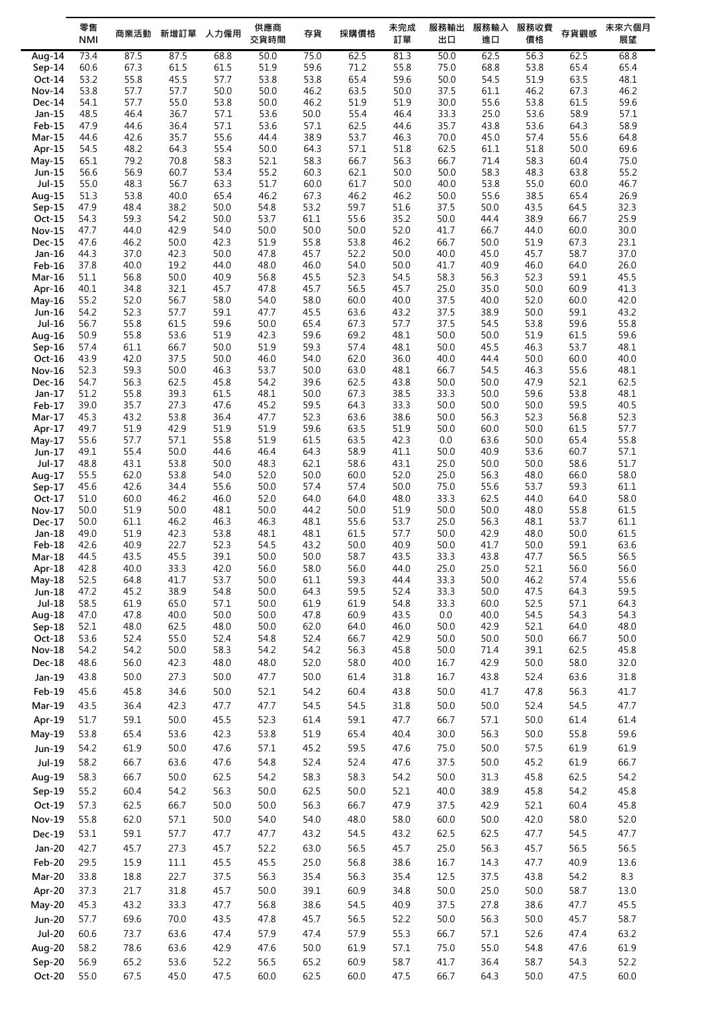|                    | 零售<br><b>NMI</b> | 商業活動         | 新增訂單         | 人力僱用         | 供應商<br>交貨時間  | 存貨           | 採購價格         | 未完成<br>訂單    | 服務輸出<br>出口   | 服務輸入<br>進口   | 服務收費<br>價格   | 存貨觀感         | 未來六個月<br>展望  |
|--------------------|------------------|--------------|--------------|--------------|--------------|--------------|--------------|--------------|--------------|--------------|--------------|--------------|--------------|
|                    |                  |              |              |              |              |              |              |              |              |              |              |              |              |
| Aug-14<br>$Sep-14$ | 73.4<br>60.6     | 87.5<br>67.3 | 87.5<br>61.5 | 68.8<br>61.5 | 50.0<br>51.9 | 75.0<br>59.6 | 62.5<br>71.2 | 81.3<br>55.8 | 50.0<br>75.0 | 62.5<br>68.8 | 56.3<br>53.8 | 62.5<br>65.4 | 68.8<br>65.4 |
| Oct-14             | 53.2             | 55.8         | 45.5         | 57.7         | 53.8         | 53.8         | 65.4         | 59.6         | 50.0         | 54.5         | 51.9         | 63.5         | 48.1         |
| <b>Nov-14</b>      | 53.8             | 57.7         | 57.7         | 50.0         | 50.0         | 46.2         | 63.5         | 50.0         | 37.5         | 61.1         | 46.2         | 67.3         | 46.2         |
| Dec-14             | 54.1             | 57.7         | 55.0         | 53.8         | 50.0         | 46.2         | 51.9         | 51.9         | 30.0         | 55.6         | 53.8         | 61.5         | 59.6         |
| Jan-15             | 48.5             | 46.4         | 36.7         | 57.1         | 53.6         | 50.0         | 55.4         | 46.4         | 33.3         | 25.0         | 53.6         | 58.9         | 57.1         |
| <b>Feb-15</b>      | 47.9             | 44.6         | 36.4         | 57.1         | 53.6         | 57.1         | 62.5         | 44.6         | 35.7         | 43.8         | 53.6         | 64.3         | 58.9         |
| <b>Mar-15</b>      | 44.6             | 42.6         | 35.7         | 55.6         | 44.4         | 38.9         | 53.7         | 46.3         | 70.0         | 45.0         | 57.4         | 55.6         | 64.8         |
| Apr-15             | 54.5             | 48.2         | 64.3         | 55.4         | 50.0         | 64.3         | 57.1         | 51.8         | 62.5         | 61.1         | 51.8         | 50.0         | 69.6         |
| $May-15$           | 65.1             | 79.2         | 70.8         | 58.3         | 52.1         | 58.3         | 66.7         | 56.3         | 66.7         | 71.4         | 58.3         | 60.4         | 75.0         |
| Jun-15<br>Jul-15   | 56.6<br>55.0     | 56.9<br>48.3 | 60.7<br>56.7 | 53.4<br>63.3 | 55.2<br>51.7 | 60.3<br>60.0 | 62.1<br>61.7 | 50.0<br>50.0 | 50.0<br>40.0 | 58.3<br>53.8 | 48.3<br>55.0 | 63.8<br>60.0 | 55.2<br>46.7 |
| Aug-15             | 51.3             | 53.8         | 40.0         | 65.4         | 46.2         | 67.3         | 46.2         | 46.2         | 50.0         | 55.6         | 38.5         | 65.4         | 26.9         |
| $Sep-15$           | 47.9             | 48.4         | 38.2         | 50.0         | 54.8         | 53.2         | 59.7         | 51.6         | 37.5         | 50.0         | 43.5         | 64.5         | 32.3         |
| Oct-15             | 54.3             | 59.3         | 54.2         | 50.0         | 53.7         | 61.1         | 55.6         | 35.2         | 50.0         | 44.4         | 38.9         | 66.7         | 25.9         |
| <b>Nov-15</b>      | 47.7             | 44.0         | 42.9         | 54.0         | 50.0         | 50.0         | 50.0         | 52.0         | 41.7         | 66.7         | 44.0         | 60.0         | 30.0         |
| <b>Dec-15</b>      | 47.6             | 46.2         | 50.0         | 42.3         | 51.9         | 55.8         | 53.8         | 46.2         | 66.7         | 50.0         | 51.9         | 67.3         | 23.1         |
| Jan-16             | 44.3             | 37.0         | 42.3         | 50.0         | 47.8         | 45.7         | 52.2         | 50.0         | 40.0         | 45.0         | 45.7         | 58.7         | 37.0         |
| Feb-16             | 37.8<br>51.1     | 40.0<br>56.8 | 19.2<br>50.0 | 44.0<br>40.9 | 48.0<br>56.8 | 46.0<br>45.5 | 54.0<br>52.3 | 50.0<br>54.5 | 41.7<br>58.3 | 40.9<br>56.3 | 46.0<br>52.3 | 64.0<br>59.1 | 26.0<br>45.5 |
| Mar-16<br>Apr-16   | 40.1             | 34.8         | 32.1         | 45.7         | 47.8         | 45.7         | 56.5         | 45.7         | 25.0         | 35.0         | 50.0         | 60.9         | 41.3         |
| $May-16$           | 55.2             | 52.0         | 56.7         | 58.0         | 54.0         | 58.0         | 60.0         | 40.0         | 37.5         | 40.0         | 52.0         | 60.0         | 42.0         |
| Jun-16             | 54.2             | 52.3         | 57.7         | 59.1         | 47.7         | 45.5         | 63.6         | 43.2         | 37.5         | 38.9         | 50.0         | 59.1         | 43.2         |
| Jul-16             | 56.7             | 55.8         | 61.5         | 59.6         | 50.0         | 65.4         | 67.3         | 57.7         | 37.5         | 54.5         | 53.8         | 59.6         | 55.8         |
| Aug-16             | 50.9             | 55.8         | 53.6         | 51.9         | 42.3         | 59.6         | 69.2         | 48.1         | 50.0         | 50.0         | 51.9         | 61.5         | 59.6         |
| Sep-16             | 57.4             | 61.1         | 66.7         | 50.0         | 51.9         | 59.3         | 57.4         | 48.1         | 50.0         | 45.5         | 46.3         | 53.7         | 48.1         |
| Oct-16             | 43.9             | 42.0         | 37.5         | 50.0         | 46.0         | 54.0         | 62.0         | 36.0         | 40.0         | 44.4         | 50.0         | 60.0         | 40.0         |
| Nov-16<br>Dec-16   | 52.3<br>54.7     | 59.3<br>56.3 | 50.0<br>62.5 | 46.3<br>45.8 | 53.7<br>54.2 | 50.0<br>39.6 | 63.0<br>62.5 | 48.1<br>43.8 | 66.7<br>50.0 | 54.5<br>50.0 | 46.3<br>47.9 | 55.6<br>52.1 | 48.1<br>62.5 |
| Jan-17             | 51.2             | 55.8         | 39.3         | 61.5         | 48.1         | 50.0         | 67.3         | 38.5         | 33.3         | 50.0         | 59.6         | 53.8         | 48.1         |
| Feb-17             | 39.0             | 35.7         | 27.3         | 47.6         | 45.2         | 59.5         | 64.3         | 33.3         | 50.0         | 50.0         | 50.0         | 59.5         | 40.5         |
| Mar-17             | 45.3             | 43.2         | 53.8         | 36.4         | 47.7         | 52.3         | 63.6         | 38.6         | 50.0         | 56.3         | 52.3         | 56.8         | 52.3         |
| Apr-17             | 49.7             | 51.9         | 42.9         | 51.9         | 51.9         | 59.6         | 63.5         | 51.9         | 50.0         | 60.0         | 50.0         | 61.5         | 57.7         |
| May-17             | 55.6             | 57.7         | 57.1         | 55.8         | 51.9         | 61.5         | 63.5         | 42.3         | 0.0          | 63.6         | 50.0         | 65.4         | 55.8         |
| Jun-17<br>Jul-17   | 49.1<br>48.8     | 55.4<br>43.1 | 50.0<br>53.8 | 44.6<br>50.0 | 46.4<br>48.3 | 64.3<br>62.1 | 58.9<br>58.6 | 41.1<br>43.1 | 50.0<br>25.0 | 40.9<br>50.0 | 53.6<br>50.0 | 60.7<br>58.6 | 57.1<br>51.7 |
| Aug-17             | 55.5             | 62.0         | 53.8         | 54.0         | 52.0         | 50.0         | 60.0         | 52.0         | 25.0         | 56.3         | 48.0         | 66.0         | 58.0         |
| $Sep-17$           | 45.6             | 42.6         | 34.4         | 55.6         | 50.0         | 57.4         | 57.4         | 50.0         | 75.0         | 55.6         | 53.7         | 59.3         | 61.1         |
| Oct-17             | 51.0             | 60.0         | 46.2         | 46.0         | 52.0         | 64.0         | 64.0         | 48.0         | 33.3         | 62.5         | 44.0         | 64.0         | 58.0         |
| Nov-17             | 50.0             | 51.9         | 50.0         | 48.1         | 50.0         | 44.2         | 50.0         | 51.9         | 50.0         | 50.0         | 48.0         | 55.8         | 61.5         |
| Dec-17             | 50.0             | 61.1         | 46.2         | 46.3         | 46.3         | 48.1         | 55.6         | 53.7         | 25.0         | 56.3         | 48.1         | 53.7         | 61.1         |
| Jan-18             | 49.0<br>42.6     | 51.9<br>40.9 | 42.3<br>22.7 | 53.8<br>52.3 | 48.1         | 48.1         | 61.5<br>50.0 | 57.7<br>40.9 | 50.0<br>50.0 | 42.9<br>41.7 | 48.0<br>50.0 | 50.0         | 61.5<br>63.6 |
| Feb-18<br>Mar-18   | 44.5             | 43.5         | 45.5         | 39.1         | 54.5<br>50.0 | 43.2<br>50.0 | 58.7         | 43.5         | 33.3         | 43.8         | 47.7         | 59.1<br>56.5 | 56.5         |
| Apr-18             | 42.8             | 40.0         | 33.3         | 42.0         | 56.0         | 58.0         | 56.0         | 44.0         | 25.0         | 25.0         | 52.1         | 56.0         | 56.0         |
| May-18             | 52.5             | 64.8         | 41.7         | 53.7         | 50.0         | 61.1         | 59.3         | 44.4         | 33.3         | 50.0         | 46.2         | 57.4         | 55.6         |
| Jun-18             | 47.2             | 45.2         | 38.9         | 54.8         | 50.0         | 64.3         | 59.5         | 52.4         | 33.3         | 50.0         | 47.5         | 64.3         | 59.5         |
| Jul-18             | 58.5             | 61.9         | 65.0         | 57.1         | 50.0         | 61.9         | 61.9         | 54.8         | 33.3         | 60.0         | 52.5         | 57.1         | 64.3         |
| Aug-18             | 47.0             | 47.8         | 40.0         | 50.0         | 50.0         | 47.8         | 60.9         | 43.5         | 0.0          | 40.0         | 54.5         | 54.3         | 54.3         |
| Sep-18<br>Oct-18   | 52.1<br>53.6     | 48.0<br>52.4 | 62.5<br>55.0 | 48.0<br>52.4 | 50.0<br>54.8 | 62.0<br>52.4 | 64.0<br>66.7 | 46.0<br>42.9 | 50.0<br>50.0 | 42.9<br>50.0 | 52.1<br>50.0 | 64.0<br>66.7 | 48.0<br>50.0 |
| Nov-18             | 54.2             | 54.2         | 50.0         | 58.3         | 54.2         | 54.2         | 56.3         | 45.8         | $50.0$       | 71.4         | 39.1         | 62.5         | 45.8         |
| Dec-18             | 48.6             | 56.0         | 42.3         | 48.0         | 48.0         | 52.0         | 58.0         | 40.0         | 16.7         | 42.9         | 50.0         | 58.0         | 32.0         |
| Jan-19             | 43.8             | 50.0         | 27.3         | 50.0         | 47.7         | 50.0         | 61.4         | 31.8         | 16.7         | 43.8         | 52.4         | 63.6         | 31.8         |
| Feb-19             | 45.6             | 45.8         | 34.6         | 50.0         | 52.1         | 54.2         | 60.4         | 43.8         | 50.0         | 41.7         | 47.8         | 56.3         | 41.7         |
| Mar-19             | 43.5             | 36.4         | 42.3         | 47.7         | 47.7         | 54.5         | 54.5         | 31.8         | 50.0         | 50.0         | 52.4         | 54.5         | 47.7         |
| Apr-19             | 51.7             | 59.1         | 50.0         | 45.5         | 52.3         | 61.4         | 59.1         | 47.7         | 66.7         | 57.1         | 50.0         | 61.4         | 61.4         |
|                    | 53.8             | 65.4         | 53.6         | 42.3         | 53.8         | 51.9         | 65.4         | 40.4         | 30.0         | 56.3         | 50.0         | 55.8         | 59.6         |
| May-19<br>Jun-19   | 54.2             | 61.9         | 50.0         | 47.6         | 57.1         | 45.2         | 59.5         | 47.6         | 75.0         | 50.0         | 57.5         | 61.9         | 61.9         |
|                    |                  |              |              |              |              |              |              |              |              |              |              |              |              |
| Jul-19             | 58.2             | 66.7         | 63.6         | 47.6         | 54.8         | 52.4         | 52.4         | 47.6         | 37.5         | 50.0         | 45.2         | 61.9         | 66.7         |
| Aug-19             | 58.3             | 66.7         | 50.0         | 62.5         | 54.2         | 58.3         | 58.3         | 54.2         | 50.0         | 31.3         | 45.8         | 62.5         | 54.2         |
| Sep-19             | 55.2             | 60.4         | 54.2         | 56.3         | 50.0         | 62.5         | 50.0         | 52.1         | 40.0         | 38.9         | 45.8         | 54.2         | 45.8         |
| Oct-19             | 57.3             | 62.5         | 66.7         | 50.0         | 50.0         | 56.3         | 66.7         | 47.9         | 37.5         | 42.9         | 52.1         | 60.4         | 45.8         |
| <b>Nov-19</b>      | 55.8             | 62.0         | 57.1         | 50.0         | 54.0         | 54.0         | 48.0         | 58.0         | 60.0         | $50.0$       | 42.0         | 58.0         | 52.0         |
| Dec-19             | 53.1             | 59.1         | 57.7         | 47.7         | 47.7         | 43.2         | 54.5         | 43.2         | 62.5         | 62.5         | 47.7         | 54.5         | 47.7         |
| Jan-20             | 42.7             | 45.7         | 27.3         | 45.7         | 52.2         | 63.0         | 56.5         | 45.7         | 25.0         | 56.3         | 45.7         | 56.5         | 56.5         |
| Feb-20             | 29.5             | 15.9         | $11.1\,$     | 45.5         | 45.5         | 25.0         | 56.8         | 38.6         | 16.7         | 14.3         | 47.7         | 40.9         | 13.6         |
| Mar-20             | 33.8             | 18.8         | 22.7         | 37.5         | 56.3         | 35.4         | 56.3         | 35.4         | 12.5         | 37.5         | 43.8         | 54.2         | 8.3          |
| Apr-20             | 37.3             | 21.7         | 31.8         | 45.7         | 50.0         | 39.1         | 60.9         | 34.8         | $50.0$       | 25.0         | 50.0         | 58.7         | 13.0         |
| May-20             | 45.3             | 43.2         | 33.3         | 47.7         | 56.8         | 38.6         | 54.5         | 40.9         | 37.5         | 27.8         | 38.6         | 47.7         | 45.5         |
| <b>Jun-20</b>      | 57.7             | 69.6         | 70.0         | 43.5         | 47.8         | 45.7         | 56.5         | 52.2         | $50.0$       | 56.3         | 50.0         | 45.7         | 58.7         |
| <b>Jul-20</b>      | 60.6             | 73.7         | 63.6         | 47.4         | 57.9         | 47.4         | 57.9         | 55.3         | 66.7         | 57.1         | 52.6         | 47.4         | 63.2         |
| Aug-20             | 58.2             | 78.6         | 63.6         | 42.9         | 47.6         | 50.0         | 61.9         | 57.1         | 75.0         | 55.0         | 54.8         | 47.6         | 61.9         |
| Sep-20             | 56.9             | 65.2         | 53.6         | 52.2         | 56.5         | 65.2         | 60.9         | 58.7         | 41.7         | 36.4         | 58.7         | 54.3         | 52.2         |
| Oct-20             | 55.0             | 67.5         | 45.0         | 47.5         | 60.0         | 62.5         | 60.0         | 47.5         | 66.7         | 64.3         | 50.0         | 47.5         | 60.0         |
|                    |                  |              |              |              |              |              |              |              |              |              |              |              |              |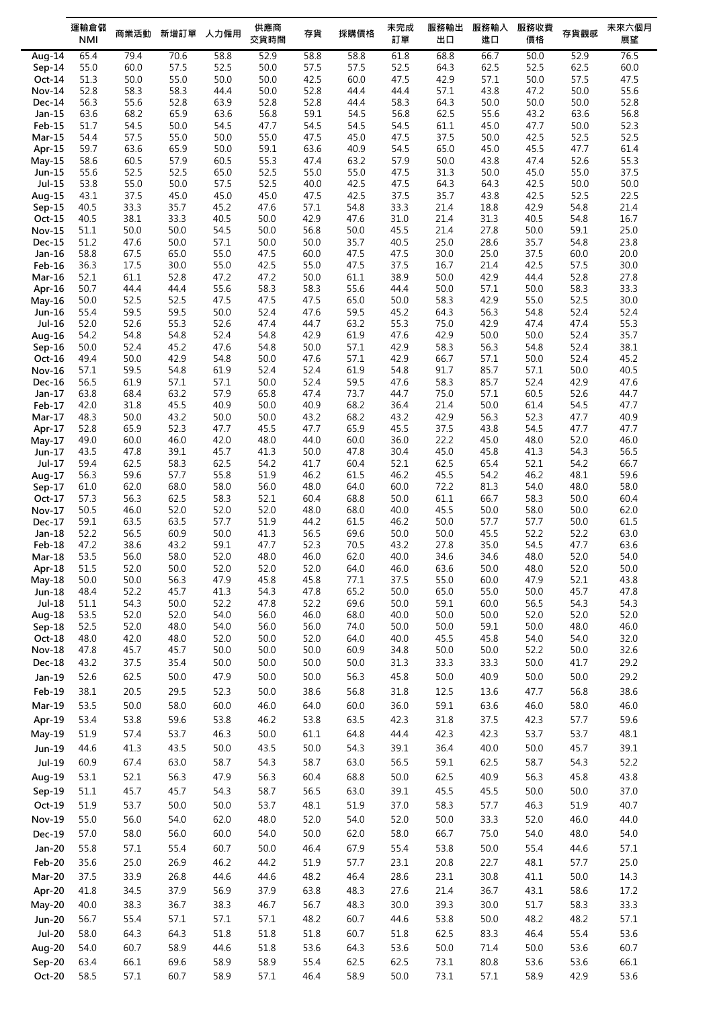|                         | 運輸倉儲<br><b>NMI</b> | 商業活動         | 新增訂單         | 人力僱用         | 供應商<br>交貨時間  | 存貨           | 採購價格         | 未完成<br>訂單    | 服務輸出<br>出口   | 服務輸入<br>進口   | 服務收費<br>價格   | 存貨觀感         | 未來六個月<br>展望  |
|-------------------------|--------------------|--------------|--------------|--------------|--------------|--------------|--------------|--------------|--------------|--------------|--------------|--------------|--------------|
| Aug- $14$               | 65.4               | 79.4         | 70.6         | 58.8         | 52.9         | 58.8         | 58.8         | 61.8         | 68.8         | 66.7         | 50.0         | 52.9         | 76.5         |
| $Sep-14$                | 55.0               | 60.0         | 57.5         | 52.5         | 50.0         | 57.5         | 57.5         | 52.5         | 64.3         | 62.5         | 52.5         | 62.5         | 60.0         |
| Oct-14                  | 51.3               | 50.0         | 55.0         | 50.0         | 50.0         | 42.5         | 60.0         | 47.5         | 42.9         | 57.1         | 50.0         | 57.5         | 47.5         |
| <b>Nov-14</b>           | 52.8               | 58.3         | 58.3         | 44.4         | 50.0         | 52.8         | 44.4         | 44.4         | 57.1         | 43.8         | 47.2         | 50.0         | 55.6         |
| Dec-14                  | 56.3               | 55.6         | 52.8         | 63.9         | 52.8         | 52.8         | 44.4         | 58.3         | 64.3         | 50.0         | 50.0         | 50.0         | 52.8         |
| Jan-15                  | 63.6               | 68.2         | 65.9         | 63.6         | 56.8         | 59.1         | 54.5         | 56.8         | 62.5         | 55.6         | 43.2         | 63.6         | 56.8         |
| Feb-15                  | 51.7               | 54.5         | 50.0         | 54.5         | 47.7         | 54.5         | 54.5         | 54.5         | 61.1         | 45.0         | 47.7         | 50.0         | 52.3         |
| $Mar-15$                | 54.4               | 57.5         | 55.0         | 50.0         | 55.0         | 47.5         | 45.0         | 47.5         | 37.5         | 50.0         | 42.5         | 52.5         | 52.5         |
| Apr-15                  | 59.7               | 63.6         | 65.9         | 50.0         | 59.1         | 63.6         | 40.9         | 54.5         | 65.0         | 45.0         | 45.5         | 47.7         | 61.4         |
| $May-15$                | 58.6               | 60.5         | 57.9         | 60.5         | 55.3         | 47.4         | 63.2         | 57.9         | 50.0         | 43.8         | 47.4         | 52.6         | 55.3         |
| Jun-15                  | 55.6               | 52.5         | 52.5         | 65.0         | 52.5         | 55.0         | 55.0         | 47.5         | 31.3         | 50.0         | 45.0         | 55.0         | 37.5         |
| $Jul-15$                | 53.8               | 55.0         | 50.0         | 57.5         | 52.5         | 40.0         | 42.5         | 47.5         | 64.3         | 64.3         | 42.5         | 50.0         | 50.0         |
| Aug-15                  | 43.1               | 37.5         | 45.0         | 45.0         | 45.0         | 47.5         | 42.5         | 37.5         | 35.7         | 43.8         | 42.5         | 52.5         | 22.5         |
| $Sep-15$<br>Oct-15      | 40.5<br>40.5       | 33.3<br>38.1 | 35.7<br>33.3 | 45.2<br>40.5 | 47.6<br>50.0 | 57.1<br>42.9 | 54.8<br>47.6 | 33.3<br>31.0 | 21.4<br>21.4 | 18.8<br>31.3 | 42.9<br>40.5 | 54.8<br>54.8 | 21.4<br>16.7 |
| <b>Nov-15</b>           | 51.1               | 50.0         | 50.0         | 54.5         | 50.0         | 56.8         | 50.0         | 45.5         | 21.4         | 27.8         | 50.0         | 59.1         | 25.0         |
| <b>Dec-15</b>           | 51.2               | 47.6         | 50.0         | 57.1         | 50.0         | 50.0         | 35.7         | 40.5         | 25.0         | 28.6         | 35.7         | 54.8         | 23.8         |
| Jan-16                  | 58.8               | 67.5         | 65.0         | 55.0         | 47.5         | 60.0         | 47.5         | 47.5         | 30.0         | 25.0         | 37.5         | 60.0         | 20.0         |
| $Feb-16$                | 36.3               | 17.5         | 30.0         | 55.0         | 42.5         | 55.0         | 47.5         | 37.5         | 16.7         | 21.4         | 42.5         | 57.5         | 30.0         |
| Mar-16                  | 52.1               | 61.1         | 52.8         | 47.2         | 47.2         | 50.0         | 61.1         | 38.9         | 50.0         | 42.9         | 44.4         | 52.8         | 27.8         |
| Apr-16                  | 50.7               | 44.4         | 44.4         | 55.6         | 58.3         | 58.3         | 55.6         | 44.4         | 50.0         | 57.1         | 50.0         | 58.3         | 33.3         |
| May-16                  | 50.0               | 52.5         | 52.5         | 47.5         | 47.5         | 47.5         | 65.0         | 50.0         | 58.3         | 42.9         | 55.0         | 52.5         | 30.0         |
| Jun-16                  | 55.4               | 59.5         | 59.5         | 50.0         | 52.4         | 47.6         | 59.5         | 45.2         | 64.3         | 56.3         | 54.8         | 52.4         | 52.4         |
| Jul-16                  | 52.0               | 52.6         | 55.3         | 52.6         | 47.4         | 44.7         | 63.2         | 55.3         | 75.0         | 42.9         | 47.4         | 47.4         | 55.3         |
| Aug-16                  | 54.2               | 54.8         | 54.8         | 52.4         | 54.8         | 42.9         | 61.9         | 47.6         | 42.9         | 50.0         | 50.0         | 52.4         | 35.7         |
| $Sep-16$                | 50.0               | 52.4         | 45.2         | 47.6         | 54.8         | 50.0         | 57.1         | 42.9         | 58.3         | 56.3         | 54.8         | 52.4         | 38.1         |
| Oct-16                  | 49.4               | 50.0         | 42.9         | 54.8<br>61.9 | 50.0         | 47.6         | 57.1         | 42.9<br>54.8 | 66.7<br>91.7 | 57.1         | 50.0<br>57.1 | 52.4<br>50.0 | 45.2<br>40.5 |
| <b>Nov-16</b><br>Dec-16 | 57.1<br>56.5       | 59.5<br>61.9 | 54.8<br>57.1 | 57.1         | 52.4<br>50.0 | 52.4<br>52.4 | 61.9<br>59.5 | 47.6         | 58.3         | 85.7<br>85.7 | 52.4         | 42.9         | 47.6         |
| Jan-17                  | 63.8               | 68.4         | 63.2         | 57.9         | 65.8         | 47.4         | 73.7         | 44.7         | 75.0         | 57.1         | 60.5         | 52.6         | 44.7         |
| Feb-17                  | 42.0               | 31.8         | 45.5         | 40.9         | 50.0         | 40.9         | 68.2         | 36.4         | 21.4         | 50.0         | 61.4         | 54.5         | 47.7         |
| Mar-17                  | 48.3               | 50.0         | 43.2         | 50.0         | 50.0         | 43.2         | 68.2         | 43.2         | 42.9         | 56.3         | 52.3         | 47.7         | 40.9         |
| Apr-17                  | 52.8               | 65.9         | 52.3         | 47.7         | 45.5         | 47.7         | 65.9         | 45.5         | 37.5         | 43.8         | 54.5         | 47.7         | 47.7         |
| $May-17$                | 49.0               | 60.0         | 46.0         | 42.0         | 48.0         | 44.0         | 60.0         | 36.0         | 22.2         | 45.0         | 48.0         | 52.0         | 46.0         |
| Jun-17                  | 43.5               | 47.8         | 39.1         | 45.7         | 41.3         | 50.0         | 47.8         | 30.4         | 45.0         | 45.8         | 41.3         | 54.3         | 56.5         |
| Jul-17                  | 59.4               | 62.5         | 58.3         | 62.5         | 54.2         | 41.7         | 60.4         | 52.1         | 62.5         | 65.4         | 52.1         | 54.2         | 66.7         |
| Aug-17                  | 56.3               | 59.6         | 57.7         | 55.8         | 51.9         | 46.2         | 61.5         | 46.2         | 45.5         | 54.2         | 46.2         | 48.1         | 59.6         |
| Sep-17                  | 61.0               | 62.0         | 68.0         | 58.0         | 56.0         | 48.0         | 64.0         | 60.0         | 72.2         | 81.3         | 54.0         | 48.0         | 58.0         |
| Oct-17                  | 57.3               | 56.3         | 62.5         | 58.3         | 52.1         | 60.4         | 68.8         | 50.0         | 61.1         | 66.7         | 58.3         | 50.0         | 60.4         |
| <b>Nov-17</b>           | 50.5<br>59.1       | 46.0         | 52.0         | 52.0<br>57.7 | 52.0         | 48.0         | 68.0         | 40.0<br>46.2 | 45.5<br>50.0 | 50.0         | 58.0<br>57.7 | 50.0         | 62.0<br>61.5 |
| Dec-17<br>Jan-18        | 52.2               | 63.5<br>56.5 | 63.5<br>60.9 | 50.0         | 51.9<br>41.3 | 44.2<br>56.5 | 61.5<br>69.6 | 50.0         | 50.0         | 57.7<br>45.5 | 52.2         | 50.0<br>52.2 | 63.0         |
| Feb-18                  | 47.2               | 38.6         | 43.2         | 59.1         | 47.7         | 52.3         | 70.5         | 43.2         | 27.8         | 35.0         | 54.5         | 47.7         | 63.6         |
| Mar-18                  | 53.5               | 56.0         | 58.0         | 52.0         | 48.0         | 46.0         | 62.0         | 40.0         | 34.6         | 34.6         | 48.0         | 52.0         | 54.0         |
| Apr-18                  | 51.5               | 52.0         | 50.0         | 52.0         | 52.0         | 52.0         | 64.0         | 46.0         | 63.6         | 50.0         | 48.0         | 52.0         | 50.0         |
| May-18                  | 50.0               | 50.0         | 56.3         | 47.9         | 45.8         | 45.8         | 77.1         | 37.5         | 55.0         | 60.0         | 47.9         | 52.1         | 43.8         |
| Jun-18                  | 48.4               | 52.2         | 45.7         | 41.3         | 54.3         | 47.8         | 65.2         | 50.0         | 65.0         | 55.0         | 50.0         | 45.7         | 47.8         |
| Jul-18                  | 51.1               | 54.3         | 50.0         | 52.2         | 47.8         | 52.2         | 69.6         | 50.0         | 59.1         | 60.0         | 56.5         | 54.3         | 54.3         |
| Aug-18                  | 53.5               | 52.0         | 52.0         | 54.0         | 56.0         | 46.0         | 68.0         | 40.0         | 50.0         | 50.0         | 52.0         | 52.0         | 52.0         |
| Sep-18                  | 52.5               | 52.0         | 48.0         | 54.0         | 56.0         | 56.0         | 74.0         | 50.0         | 50.0         | 59.1         | 50.0         | 48.0         | 46.0         |
| Oct-18                  | 48.0               | 42.0         | 48.0         | 52.0         | 50.0         | 52.0         | 64.0         | 40.0         | 45.5         | 45.8         | 54.0         | 54.0         | 32.0         |
| Nov-18                  | 47.8               | 45.7         | 45.7         | 50.0         | 50.0         | 50.0         | 60.9         | 34.8         | 50.0         | 50.0         | 52.2         | 50.0         | 32.6         |
| Dec-18                  | 43.2               | 37.5         | 35.4         | 50.0         | 50.0         | 50.0         | 50.0         | 31.3         | 33.3         | 33.3         | 50.0         | 41.7         | 29.2         |
| Jan-19                  | 52.6               | 62.5         | 50.0         | 47.9         | 50.0         | 50.0         | 56.3         | 45.8         | 50.0         | 40.9         | 50.0         | 50.0         | 29.2         |
| Feb-19                  | 38.1               | 20.5         | 29.5         | 52.3         | 50.0         | 38.6         | 56.8         | 31.8         | 12.5         | 13.6         | 47.7         | 56.8         | 38.6         |
| Mar-19                  | 53.5               | 50.0         | 58.0         | 60.0         | 46.0         | 64.0         | 60.0         | 36.0         | 59.1         | 63.6         | 46.0         | 58.0         | 46.0         |
| Apr-19                  | 53.4               | 53.8         | 59.6         | 53.8         | 46.2         | 53.8         | 63.5         | 42.3         | 31.8         | 37.5         | 42.3         | 57.7         | 59.6         |
| May-19                  | 51.9               | 57.4         | 53.7         | 46.3         | 50.0         | 61.1         | 64.8         | 44.4         | 42.3         | 42.3         | 53.7         | 53.7         | 48.1         |
| Jun-19                  | 44.6               | 41.3         | 43.5         | 50.0         | 43.5         | 50.0         | 54.3         | 39.1         | 36.4         | 40.0         | 50.0         | 45.7         | 39.1         |
| Jul-19                  |                    |              |              | 58.7         |              | 58.7         | 63.0         | 56.5         |              | 62.5         | 58.7         |              | 52.2         |
|                         | 60.9               | 67.4         | 63.0         |              | 54.3         |              |              |              | 59.1         |              |              | 54.3         |              |
| Aug-19                  | 53.1               | 52.1         | 56.3         | 47.9         | 56.3         | 60.4         | 68.8         | 50.0         | 62.5         | 40.9         | 56.3         | 45.8         | 43.8         |
| Sep-19                  | 51.1               | 45.7         | 45.7         | 54.3         | 58.7         | 56.5         | 63.0         | 39.1         | 45.5         | 45.5         | 50.0         | 50.0         | 37.0         |
| Oct-19                  | 51.9               | 53.7         | 50.0         | 50.0         | 53.7         | 48.1         | 51.9         | 37.0         | 58.3         | 57.7         | 46.3         | 51.9         | 40.7         |
| <b>Nov-19</b>           | 55.0               | 56.0         | 54.0         | 62.0         | 48.0         | 52.0         | 54.0         | 52.0         | 50.0         | 33.3         | 52.0         | 46.0         | 44.0         |
| Dec-19                  | 57.0               | 58.0         | 56.0         | 60.0         | 54.0         | 50.0         | 62.0         | 58.0         | 66.7         | 75.0         | 54.0         | 48.0         | 54.0         |
| Jan-20                  | 55.8               | 57.1         | 55.4         | 60.7         | 50.0         | 46.4         | 67.9         | 55.4         | 53.8         | 50.0         | 55.4         | 44.6         | 57.1         |
| Feb-20                  | 35.6               | 25.0         | 26.9         | 46.2         | 44.2         | 51.9         | 57.7         | 23.1         | 20.8         | 22.7         | 48.1         | 57.7         | 25.0         |
|                         |                    |              |              |              |              |              |              |              |              |              |              |              |              |
| Mar-20                  | 37.5               | 33.9         | 26.8         | 44.6         | 44.6         | 48.2         | 46.4         | 28.6         | 23.1         | 30.8         | 41.1         | 50.0         | 14.3         |
| Apr-20                  | 41.8               | 34.5         | 37.9         | 56.9         | 37.9         | 63.8         | 48.3         | 27.6         | 21.4         | 36.7         | 43.1         | 58.6         | 17.2         |
| May-20                  | 40.0               | 38.3         | 36.7         | 38.3         | 46.7         | 56.7         | 48.3         | 30.0         | 39.3         | 30.0         | 51.7         | 58.3         | 33.3         |
| <b>Jun-20</b>           | 56.7               | 55.4         | 57.1         | 57.1         | 57.1         | 48.2         | 60.7         | 44.6         | 53.8         | 50.0         | 48.2         | 48.2         | 57.1         |
| $Jul-20$                | 58.0               | 64.3         | 64.3         | 51.8         | 51.8         | 51.8         | 60.7         | 51.8         | 62.5         | 83.3         | 46.4         | 55.4         | 53.6         |
| Aug-20                  | 54.0               | 60.7         | 58.9         | 44.6         | 51.8         | 53.6         | 64.3         | 53.6         | 50.0         | 71.4         | 50.0         | 53.6         | 60.7         |
| Sep-20                  | 63.4               | 66.1         | 69.6         | 58.9         | 58.9         | 55.4         | 62.5         | 62.5         | 73.1         | 80.8         | 53.6         | 53.6         | 66.1         |
| Oct-20                  | 58.5               | 57.1         | 60.7         | 58.9         | 57.1         | 46.4         | 58.9         | 50.0         | 73.1         | 57.1         | 58.9         | 42.9         | 53.6         |
|                         |                    |              |              |              |              |              |              |              |              |              |              |              |              |